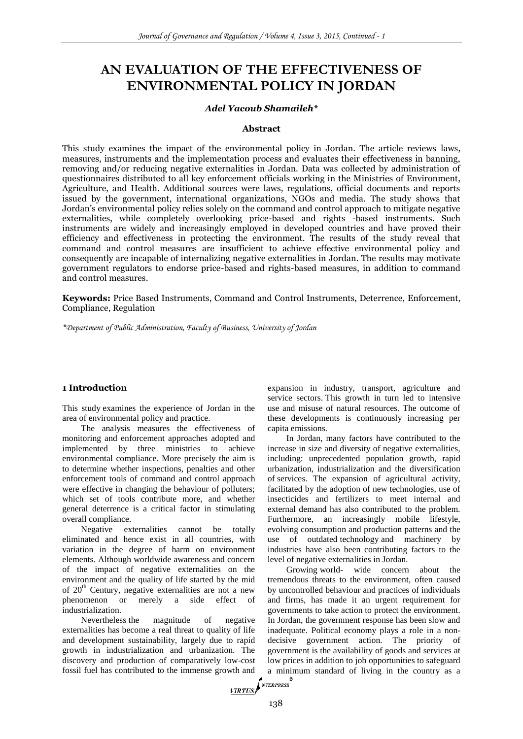# **AN EVALUATION OF THE EFFECTIVENESS OF ENVIRONMENTAL POLICY IN JORDAN**

#### *Adel Yacoub Shamaileh\**

#### **Abstract**

This study examines the impact of the environmental policy in Jordan. The article reviews laws, measures, instruments and the implementation process and evaluates their effectiveness in banning, removing and/or reducing negative externalities in Jordan. Data was collected by administration of questionnaires distributed to all key enforcement officials working in the Ministries of Environment, Agriculture, and Health. Additional sources were laws, regulations, official documents and reports issued by the government, international organizations, NGOs and media. The study shows that Jordan's environmental policy relies solely on the command and control approach to mitigate negative externalities, while completely overlooking price-based and rights -based instruments. Such instruments are widely and increasingly employed in developed countries and have proved their efficiency and effectiveness in protecting the environment. The results of the study reveal that command and control measures are insufficient to achieve effective environmental policy and consequently are incapable of internalizing negative externalities in Jordan. The results may motivate government regulators to endorse price-based and rights-based measures, in addition to command and control measures.

**Keywords:** Price Based Instruments, Command and Control Instruments, Deterrence, Enforcement, Compliance, Regulation

*\*Department of Public Administration, Faculty of Business, University of Jordan*

#### **1 Introduction**

This study examines the experience of Jordan in the area of environmental policy and practice.

The analysis measures the effectiveness of monitoring and enforcement approaches adopted and implemented by three ministries to achieve environmental compliance. More precisely the aim is to determine whether inspections, penalties and other enforcement tools of command and control approach were effective in changing the behaviour of polluters; which set of tools contribute more, and whether general deterrence is a critical factor in stimulating overall compliance.

Negative externalities cannot be totally eliminated and hence exist in all countries, with variation in the degree of harm on environment elements. Although worldwide awareness and concern of the impact of negative externalities on the environment and the quality of life started by the mid of 20<sup>th</sup> Century, negative externalities are not a new phenomenon or merely a side effect of industrialization.

Nevertheless the magnitude of negative externalities has become a real threat to quality of life and development sustainability, largely due to rapid growth in industrialization and urbanization. The discovery and production of comparatively low-cost fossil fuel has contributed to the immense growth and a mini  $\sqrt{\frac{NTERPRESS}{NTERPRESS}}$ 

expansion in industry, transport, agriculture and service sectors. This growth in turn led to intensive use and misuse of natural resources. The outcome of these developments is continuously increasing per capita emissions.

In Jordan, many factors have contributed to the increase in size and diversity of negative externalities, including: unprecedented population growth, rapid urbanization, industrialization and the diversification of services. The expansion of agricultural activity, facilitated by the adoption of new technologies, use of insecticides and fertilizers to meet internal and external demand has also contributed to the problem. Furthermore, an increasingly mobile lifestyle, evolving consumption and production patterns and the use of outdated technology and machinery by industries have also been contributing factors to the level of negative externalities in Jordan.

Growing world- wide concern about the tremendous threats to the environment, often caused by uncontrolled behaviour and practices of individuals and firms, has made it an urgent requirement for governments to take action to protect the environment. In Jordan, the government response has been slow and inadequate. Political economy plays a role in a nondecisive government action. The priority of government is the availability of goods and services at low prices in addition to job opportunities to safeguard a minimum standard of living in the country as a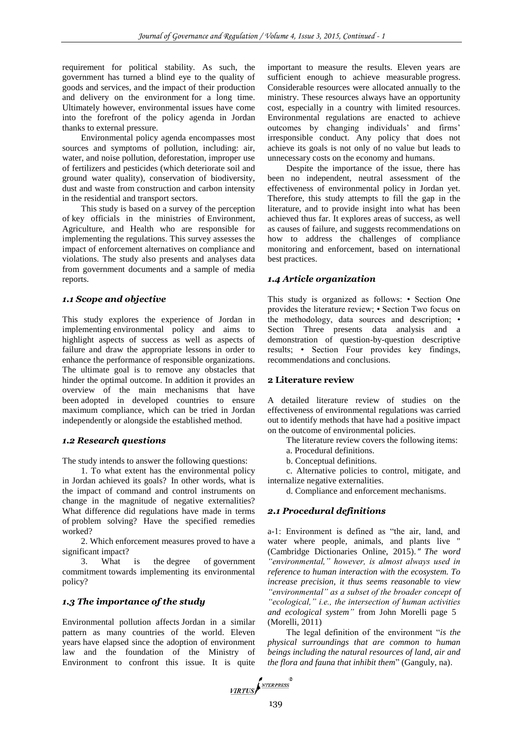requirement for political stability. As such, the government has turned a blind eye to the quality of goods and services, and the impact of their production and delivery on the environment for a long time. Ultimately however, environmental issues have come into the forefront of the policy agenda in Jordan thanks to external pressure.

Environmental policy agenda encompasses most sources and symptoms of pollution, including: air, water, and noise pollution, deforestation, improper use of fertilizers and pesticides (which deteriorate soil and ground water quality), conservation of biodiversity, dust and waste from construction and carbon intensity in the residential and transport sectors.

This study is based on a survey of the perception of key officials in the ministries of Environment, Agriculture, and Health who are responsible for implementing the regulations. This survey assesses the impact of enforcement alternatives on compliance and violations. The study also presents and analyses data from government documents and a sample of media reports.

## *1.1 Scope and objective*

This study explores the experience of Jordan in implementing environmental policy and aims to highlight aspects of success as well as aspects of failure and draw the appropriate lessons in order to enhance the performance of responsible organizations. The ultimate goal is to remove any obstacles that hinder the optimal outcome. In addition it provides an overview of the main mechanisms that have been adopted in developed countries to ensure maximum compliance, which can be tried in Jordan independently or alongside the established method.

#### *1.2 Research questions*

The study intends to answer the following questions:

1. To what extent has the environmental policy in Jordan achieved its goals? In other words, what is the impact of command and control instruments on change in the magnitude of negative externalities? What difference did regulations have made in terms of problem solving? Have the specified remedies worked?

2. Which enforcement measures proved to have a significant impact?

3. What is the degree of government commitment towards implementing its environmental policy?

## *1.3 The importance of the study*

Environmental pollution affects Jordan in a similar pattern as many countries of the world. Eleven years have elapsed since the adoption of environment law and the foundation of the Ministry of Environment to confront this issue. It is quite important to measure the results. Eleven years are sufficient enough to achieve measurable progress. Considerable resources were allocated annually to the ministry. These resources always have an opportunity cost, especially in a country with limited resources. Environmental regulations are enacted to achieve outcomes by changing individuals' and firms' irresponsible conduct. Any policy that does not achieve its goals is not only of no value but leads to unnecessary costs on the economy and humans.

Despite the importance of the issue, there has been no independent, neutral assessment of the effectiveness of environmental policy in Jordan yet. Therefore, this study attempts to fill the gap in the literature, and to provide insight into what has been achieved thus far. It explores areas of success, as well as causes of failure, and suggests recommendations on how to address the challenges of compliance monitoring and enforcement, based on international best practices.

### *1.4 Article organization*

This study is organized as follows: • Section One provides the literature review; • Section Two focus on the methodology, data sources and description; • Section Three presents data analysis and a demonstration of question-by-question descriptive results; • Section Four provides key findings, recommendations and conclusions.

#### **2 Literature review**

A detailed literature review of studies on the effectiveness of environmental regulations was carried out to identify methods that have had a positive impact on the outcome of environmental policies.

- The literature review covers the following items:
- a. Procedural definitions.
- b. Conceptual definitions.

c. Alternative policies to control, mitigate, and internalize negative externalities.

d. Compliance and enforcement mechanisms.

## *2.1 Procedural definitions*

a-1: Environment is defined as "the air, land, and water where people, animals, and plants live " (Cambridge Dictionaries Online, 2015)." *The word "environmental," however, is almost always used in reference to human interaction with the ecosystem. To increase precision, it thus seems reasonable to view "environmental" as a subset of the broader concept of "ecological," i.e., the intersection of human activities and ecological system"* from John Morelli page 5 (Morelli, 2011)

The legal definition of the environment "*is the physical surroundings that are common to human beings including the natural resources of land, air and the flora and fauna that inhibit them*" (Ganguly, na).

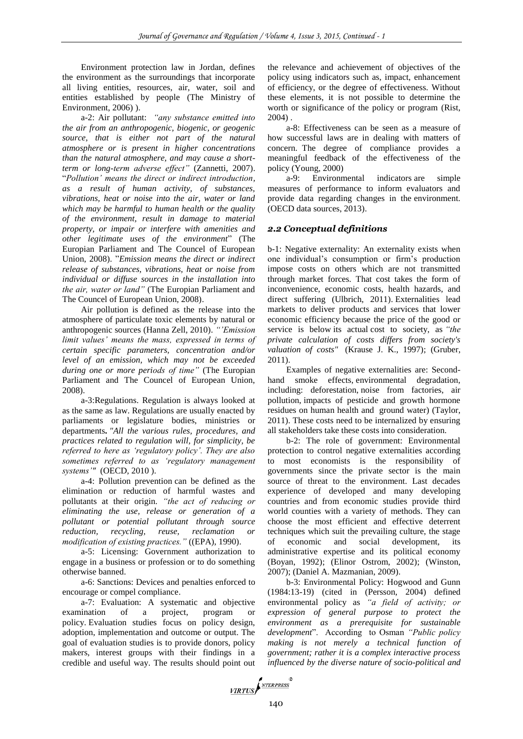Environment protection law in Jordan, defines the environment as the surroundings that incorporate all living entities, resources, air, water, soil and entities established by people (The Ministry of Environment, 2006) ).

a-2: Air pollutant: *"any substance emitted into the air from an anthropogenic, biogenic, or geogenic source, that is either not part of the natural atmosphere or is present in higher concentrations than the natural atmosphere, and may cause a shortterm or long-term adverse effect"* (Zannetti, 2007). "*Pollution' means the direct or indirect introduction, as a result of human activity, of substances, vibrations, heat or noise into the air, water or land which may be harmful to human health or the quality of the environment, result in damage to material property, or impair or interfere with amenities and other legitimate uses of the environment*" (The Europian Parliament and The Councel of European Union, 2008). "*Emission means the direct or indirect release of substances, vibrations, heat or noise from individual or diffuse sources in the installation into the air, water or land"* (The Europian Parliament and The Councel of European Union, 2008).

Air pollution is defined as the release into the atmosphere of particulate toxic elements by natural or anthropogenic sources (Hanna Zell, 2010). *"'Emission limit values' means the mass, expressed in terms of certain specific parameters, concentration and/or level of an emission, which may not be exceeded during one or more periods of time"* (The Europian Parliament and The Councel of European Union, 2008).

a-3:Regulations. Regulation is always looked at as the same as law. Regulations are usually enacted by parliaments or legislature bodies, ministries or departments**.** *"All the various rules, procedures, and practices related to regulation will, for simplicity, be referred to here as 'regulatory policy'. They are also sometimes referred to as 'regulatory management systems'"* (OECD, 2010 ).

a-4: Pollution prevention can be defined as the elimination or reduction of harmful wastes and pollutants at their origin. *"the act of reducing or eliminating the use, release or generation of a pollutant or potential pollutant through source reduction, recycling, reuse, reclamation or modification of existing practices."* ((EPA), 1990).

a-5: Licensing: Government authorization to engage in a business or profession or to do something otherwise banned.

a-6: Sanctions: Devices and penalties enforced to encourage or compel compliance.

a-7: Evaluation: A systematic and objective examination of a project, program or policy. Evaluation studies focus on policy design, adoption, implementation and outcome or output. The goal of evaluation studies is to provide donors, policy makers, interest groups with their findings in a credible and useful way. The results should point out

the relevance and achievement of objectives of the policy using indicators such as, impact, enhancement of efficiency, or the degree of effectiveness. Without these elements, it is not possible to determine the worth or significance of the policy or program (Rist, 2004) .

a-8: Effectiveness can be seen as a measure of how successful laws are in dealing with matters of concern. The degree of compliance provides a meaningful feedback of the effectiveness of the policy (Young, 2000)

a-9: Environmental indicators are simple measures of performance to inform evaluators and provide data regarding changes in the environment. (OECD data sources, 2013).

# *2.2 Conceptual definitions*

b-1: Negative externality: An externality exists when one individual's consumption or firm's production impose costs on others which are not transmitted through market forces. That cost takes the form of inconvenience, economic costs, health hazards, and direct suffering (Ulbrich, 2011). Externalities lead markets to deliver products and services that lower economic efficiency because the price of the good or service is below its actual cost to society, as *"the private calculation of costs differs from society's valuation of costs"* (Krause J. K., 1997); (Gruber, 2011).

Examples of negative externalities are: Secondhand smoke effects, environmental degradation, including: deforestation, noise from factories, air pollution, impacts of pesticide and growth hormone residues on human health and ground water) (Taylor, 2011). These costs need to be internalized by ensuring all stakeholders take these costs into consideration.

b-2: The role of government: Environmental protection to control negative externalities according to most economists is the responsibility of governments since the private sector is the main source of threat to the environment. Last decades experience of developed and many developing countries and from economic studies provide third world counties with a variety of methods. They can choose the most efficient and effective deterrent techniques which suit the prevailing culture, the stage of economic and social development, its administrative expertise and its political economy (Boyan, 1992); (Elinor Ostrom, 2002); (Winston, 2007); (Daniel A. Mazmanian, 2009).

b-3: Environmental Policy: Hogwood and Gunn (1984:13-19) (cited in (Persson, 2004) defined environmental policy as *"a field of activity; or expression of general purpose to protect the environment as a prerequisite for sustainable development*". According to Osman *"Public policy making is not merely a technical function of government; rather it is a complex interactive process influenced by the diverse nature of socio-political and* 

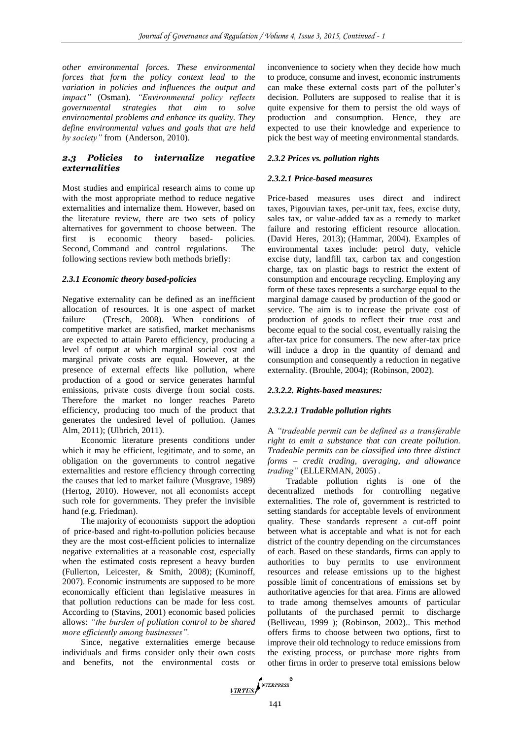*other environmental forces. These environmental forces that form the policy context lead to the variation in policies and influences the output and impact"* (Osman). *"Environmental policy reflects governmental strategies that aim to solve environmental problems and enhance its quality. They define environmental values and goals that are held by society"* from (Anderson, 2010).

# *2.3 Policies to internalize negative externalities*

Most studies and empirical research aims to come up with the most appropriate method to reduce negative externalities and internalize them. However, based on the literature review, there are two sets of policy alternatives for government to choose between. The first is economic theory based- policies. Second, Command and control regulations. The following sections review both methods briefly:

#### *2.3.1 Economic theory based-policies*

Negative externality can be defined as an inefficient allocation of resources. It is one aspect of market failure (Tresch, 2008). When conditions of competitive market are satisfied, market mechanisms are expected to attain Pareto efficiency, producing a level of output at which marginal social cost and marginal private costs are equal. However, at the presence of external effects like pollution, where production of a good or service generates harmful emissions, private costs diverge from social costs. Therefore the market no longer reaches Pareto efficiency, producing too much of the product that generates the undesired level of pollution. (James Alm, 2011); (Ulbrich, 2011).

Economic literature presents conditions under which it may be efficient, legitimate, and to some, an obligation on the governments to control negative externalities and restore efficiency through correcting the causes that led to market failure (Musgrave, 1989) (Hertog, 2010). However, not all economists accept such role for governments. They prefer the invisible hand (e.g. Friedman).

The majority of economists support the adoption of price-based and right-to-pollution policies because they are the most cost-efficient policies to internalize negative externalities at a reasonable cost, especially when the estimated costs represent a heavy burden (Fullerton, Leicester, & Smith, 2008); (Kuminoff, 2007). Economic instruments are supposed to be more economically efficient than legislative measures in that pollution reductions can be made for less cost. According to (Stavins, 2001) economic based policies allows: *"the burden of pollution control to be shared more efficiently among businesses".*

Since, negative externalities emerge because individuals and firms consider only their own costs and benefits, not the environmental costs or inconvenience to society when they decide how much to produce, consume and invest, economic instruments can make these external costs part of the polluter's decision. Polluters are supposed to realise that it is quite expensive for them to persist the old ways of production and consumption. Hence, they are expected to use their knowledge and experience to pick the best way of meeting environmental standards.

## *2.3.2 Prices vs. pollution rights*

## *2.3.2.1 Price-based measures*

Price-based measures uses direct and indirect taxes, Pigouvian taxes, per-unit tax, fees, excise duty, sales tax, or value-added tax as a remedy to market failure and restoring efficient resource allocation. (David Heres, 2013); (Hammar, 2004). Examples of environmental taxes include: petrol duty, vehicle excise duty, landfill tax, carbon tax and congestion charge, tax on plastic bags to restrict the extent of consumption and encourage recycling. Employing any form of these taxes represents a surcharge equal to the marginal damage caused by production of the good or service. The aim is to increase the private cost of production of goods to reflect their true cost and become equal to the social cost, eventually raising the after-tax price for consumers. The new after-tax price will induce a drop in the quantity of demand and consumption and consequently a reduction in negative externality. (Brouhle, 2004); (Robinson, 2002).

## *2.3.2.2. Rights-based measures:*

## *2.3.2.2.1 Tradable pollution rights*

A *"tradeable permit can be defined as a transferable right to emit a substance that can create pollution. Tradeable permits can be classified into three distinct forms – credit trading, averaging, and allowance trading"* (ELLERMAN, 2005) *.*

Tradable pollution rights is one of the decentralized methods for controlling negative externalities. The role of, government is restricted to setting standards for acceptable levels of environment quality. These standards represent a cut-off point between what is acceptable and what is not for each district of the country depending on the circumstances of each. Based on these standards, firms can apply to authorities to buy permits to use environment resources and release emissions up to the highest possible limit of concentrations of emissions set by authoritative agencies for that area. Firms are allowed to trade among themselves amounts of particular pollutants of the purchased permit to discharge (Belliveau, 1999 ); (Robinson, 2002).. This method offers firms to choose between two options, first to improve their old technology to reduce emissions from the existing process, or purchase more rights from other firms in order to preserve total emissions below

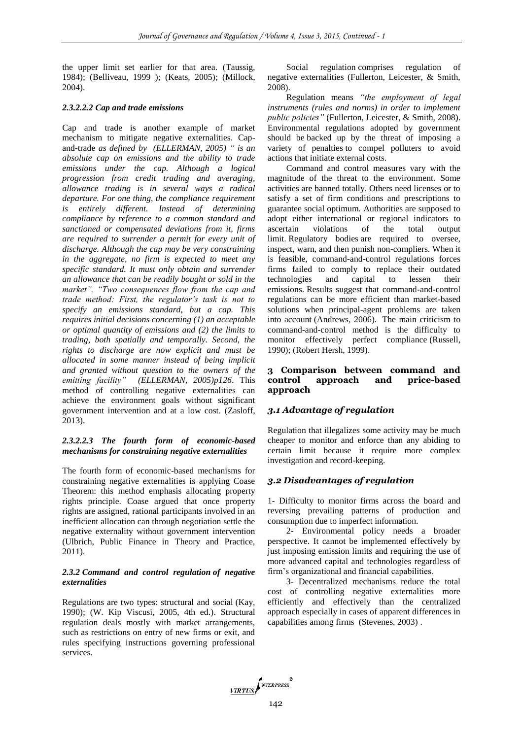the upper limit set earlier for that area. (Taussig, 1984); (Belliveau, 1999 ); (Keats, 2005); (Millock, 2004).

### *2.3.2.2.2 Cap and trade emissions*

Cap and trade is another example of market mechanism to mitigate negative externalities. Capand-trade *as defined by (ELLERMAN, 2005) " is an absolute cap on emissions and the ability to trade emissions under the cap. Although a logical progression from credit trading and averaging, allowance trading is in several ways a radical departure. For one thing, the compliance requirement is entirely different. Instead of determining compliance by reference to a common standard and sanctioned or compensated deviations from it, firms are required to surrender a permit for every unit of discharge. Although the cap may be very constraining in the aggregate, no firm is expected to meet any specific standard. It must only obtain and surrender an allowance that can be readily bought or sold in the market". "Two consequences flow from the cap and trade method: First, the regulator's task is not to specify an emissions standard, but a cap. This requires initial decisions concerning (1) an acceptable or optimal quantity of emissions and (2) the limits to trading, both spatially and temporally. Second, the rights to discharge are now explicit and must be allocated in some manner instead of being implicit and granted without question to the owners of the emitting facility" (ELLERMAN, 2005)p126*. This method of controlling negative externalities can achieve the environment goals without significant government intervention and at a low cost. (Zasloff, 2013).

## *2.3.2.2.3 The fourth form of economic-based mechanisms for constraining negative externalities*

The fourth form of economic-based mechanisms for constraining negative externalities is applying Coase Theorem: this method emphasis allocating property rights principle. Coase argued that once property rights are assigned, rational participants involved in an inefficient allocation can through negotiation settle the negative externality without government intervention (Ulbrich, Public Finance in Theory and Practice, 2011).

#### *2.3.2 Command and control regulation of negative externalities*

Regulations are two types: structural and social (Kay, 1990); (W. Kip Viscusi, 2005, 4th ed.). Structural regulation deals mostly with market arrangements, such as restrictions on entry of new firms or exit, and rules specifying instructions governing professional services.

Social regulation comprises regulation of negative externalities (Fullerton, Leicester, & Smith, 2008).

Regulation means *"the employment of legal instruments (rules and norms) in order to implement public policies"* (Fullerton, Leicester, & Smith, 2008). Environmental regulations adopted by government should be backed up by the threat of imposing a variety of penalties to compel polluters to avoid actions that initiate external costs.

Command and control measures vary with the magnitude of the threat to the environment. Some activities are banned totally. Others need licenses or to satisfy a set of firm conditions and prescriptions to guarantee social optimum. Authorities are supposed to adopt either international or regional indicators to ascertain violations of the total output limit. Regulatory bodies are required to oversee, inspect, warn, and then punish non-compliers. When it is feasible, command-and-control regulations forces firms failed to comply to replace their outdated technologies and capital to lessen their emissions. Results suggest that command-and-control regulations can be more efficient than market-based solutions when principal-agent problems are taken into account (Andrews, 2006). The main criticism to command-and-control method is the difficulty to monitor effectively perfect compliance (Russell, 1990); (Robert Hersh, 1999).

## **3 Comparison between command and control approach and price-based approach**

# *3.1 Advantage of regulation*

Regulation that illegalizes some activity may be much cheaper to monitor and enforce than any abiding to certain limit because it require more complex investigation and record-keeping.

# *3.2 Disadvantages of regulation*

1- Difficulty to monitor firms across the board and reversing prevailing patterns of production and consumption due to imperfect information.

2- Environmental policy needs a broader perspective. It cannot be implemented effectively by just imposing emission limits and requiring the use of more advanced capital and technologies regardless of firm's organizational and financial capabilities.

3- Decentralized mechanisms reduce the total cost of controlling negative externalities more efficiently and effectively than the centralized approach especially in cases of apparent differences in capabilities among firms (Stevenes, 2003) .

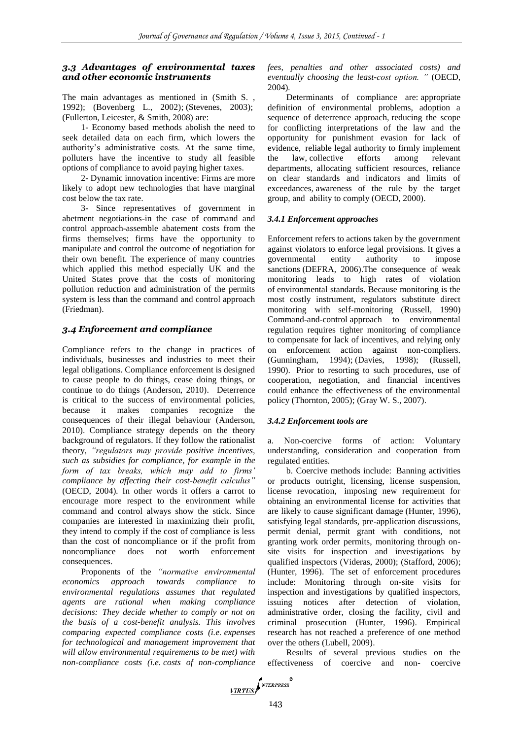## *3.3 Advantages of environmental taxes and other economic instruments*

The main advantages as mentioned in (Smith S. , 1992); (Bovenberg L., 2002); (Stevenes, 2003); (Fullerton, Leicester, & Smith, 2008) are:

1- Economy based methods abolish the need to seek detailed data on each firm, which lowers the authority's administrative costs. At the same time, polluters have the incentive to study all feasible options of compliance to avoid paying higher taxes.

2- Dynamic innovation incentive: Firms are more likely to adopt new technologies that have marginal cost below the tax rate.

3- Since representatives of government in abetment negotiations-in the case of command and control approach-assemble abatement costs from the firms themselves; firms have the opportunity to manipulate and control the outcome of negotiation for their own benefit. The experience of many countries which applied this method especially UK and the United States prove that the costs of monitoring pollution reduction and administration of the permits system is less than the command and control approach (Friedman).

# *3.4 Enforcement and compliance*

Compliance refers to the change in practices of individuals, businesses and industries to meet their legal obligations. Compliance enforcement is designed to cause people to do things, cease doing things, or continue to do things (Anderson, 2010). Deterrence is critical to the success of environmental policies, because it makes companies recognize the consequences of their illegal behaviour (Anderson, 2010). Compliance strategy depends on the theory background of regulators. If they follow the rationalist theory, *"regulators may provide positive incentives, such as subsidies for compliance, for example in the form of tax breaks, which may add to firms' compliance by affecting their cost-benefit calculus"* (OECD, 2004)*.* In other words it offers a carrot to encourage more respect to the environment while command and control always show the stick. Since companies are interested in maximizing their profit, they intend to comply if the cost of compliance is less than the cost of noncompliance or if the profit from noncompliance does not worth enforcement consequences.

Proponents of the *"normative environmental economics approach towards compliance to environmental regulations assumes that regulated agents are rational when making compliance decisions: They decide whether to comply or not on the basis of a cost-benefit analysis. This involves comparing expected compliance costs (i.e. expenses for technological and management improvement that will allow environmental requirements to be met) with non-compliance costs (i.e. costs of non-compliance* 

*fees, penalties and other associated costs) and eventually choosing the least-cost option. "* (OECD, 2004)*.*

Determinants of compliance are: appropriate definition of environmental problems, adoption a sequence of deterrence approach, reducing the scope for conflicting interpretations of the law and the opportunity for punishment evasion for lack of evidence, reliable legal authority to firmly implement the law, collective efforts among relevant departments, allocating sufficient resources, reliance on clear standards and indicators and limits of exceedances, awareness of the rule by the target group, and ability to comply (OECD, 2000).

## *3.4.1 Enforcement approaches*

Enforcement refers to actions taken by the government against violators to enforce legal provisions. It gives a governmental entity authority to impose sanctions (DEFRA, 2006).The consequence of weak monitoring leads to high rates of violation of environmental standards. Because monitoring is the most costly instrument, regulators substitute direct monitoring with self-monitoring (Russell, 1990) Command-and-control approach to environmental regulation requires tighter monitoring of compliance to compensate for lack of incentives, and relying only on enforcement action against non-compliers. (Gunningham, 1994); (Davies, 1998); (Russell, 1990). Prior to resorting to such procedures, use of cooperation, negotiation, and financial incentives could enhance the effectiveness of the environmental policy (Thornton, 2005); (Gray W. S., 2007).

## *3.4.2 Enforcement tools are*

a. Non-coercive forms of action: Voluntary understanding, consideration and cooperation from regulated entities.

b. Coercive methods include: Banning activities or products outright, licensing, license suspension, license revocation, imposing new requirement for obtaining an environmental license for activities that are likely to cause significant damage (Hunter, 1996), satisfying legal standards, pre-application discussions, permit denial, permit grant with conditions, not granting work order permits, monitoring through onsite visits for inspection and investigations by qualified inspectors (Videras, 2000); (Stafford, 2006); (Hunter, 1996). The set of enforcement procedures include: Monitoring through on-site visits for inspection and investigations by qualified inspectors, issuing notices after detection of violation, administrative order, closing the facility, civil and criminal prosecution (Hunter, 1996). Empirical research has not reached a preference of one method over the others (Lubell, 2009).

Results of several previous studies on the effectiveness of coercive and non- coercive

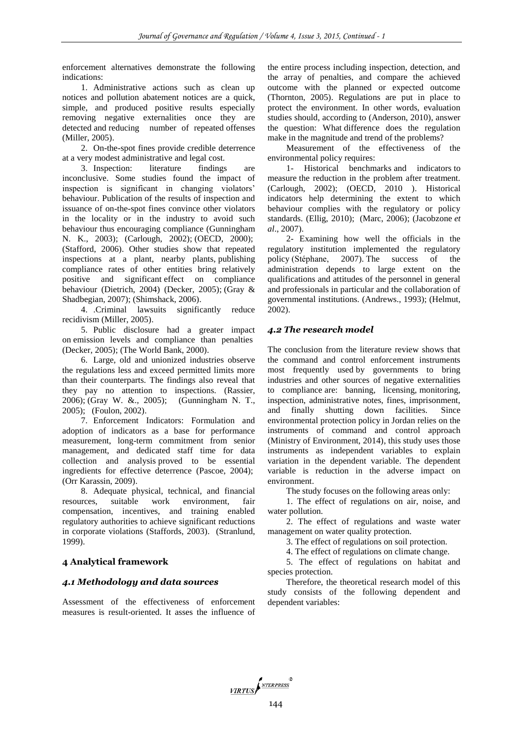enforcement alternatives demonstrate the following indications:

1. Administrative actions such as clean up notices and pollution abatement notices are a quick, simple, and produced positive results especially removing negative externalities once they are detected and reducing number of repeated offenses (Miller, 2005).

2. On-the-spot fines provide credible deterrence at a very modest administrative and legal cost.

3. Inspection: literature findings are inconclusive. Some studies found the impact of inspection is significant in changing violators' behaviour. Publication of the results of inspection and issuance of on-the-spot fines convince other violators in the locality or in the industry to avoid such behaviour thus encouraging compliance (Gunningham N. K., 2003); (Carlough, 2002); (OECD, 2000); (Stafford, 2006). Other studies show that repeated inspections at a plant, nearby plants, publishing compliance rates of other entities bring relatively positive and significant effect on compliance behaviour (Dietrich, 2004) (Decker, 2005); (Gray & Shadbegian, 2007); (Shimshack, 2006).

4. .Criminal lawsuits significantly reduce recidivism (Miller, 2005).

5. Public disclosure had a greater impact on emission levels and compliance than penalties (Decker, 2005); (The World Bank, 2000).

6. Large, old and unionized industries observe the regulations less and exceed permitted limits more than their counterparts. The findings also reveal that they pay no attention to inspections. (Rassier, 2006); (Gray W. &., 2005); (Gunningham N. T., 2005); (Foulon, 2002).

7. Enforcement Indicators: Formulation and adoption of indicators as a base for performance measurement, long-term commitment from senior management, and dedicated staff time for data collection and analysis proved to be essential ingredients for effective deterrence (Pascoe, 2004); (Orr Karassin, 2009).

8. Adequate physical, technical, and financial resources, suitable work environment, fair compensation, incentives, and training enabled regulatory authorities to achieve significant reductions in corporate violations (Staffords, 2003). (Stranlund, 1999).

# **4 Analytical framework**

### *4.1 Methodology and data sources*

Assessment of the effectiveness of enforcement measures is result-oriented. It asses the influence of

the entire process including inspection, detection, and the array of penalties, and compare the achieved outcome with the planned or expected outcome (Thornton, 2005). Regulations are put in place to protect the environment. In other words, evaluation studies should, according to (Anderson, 2010), answer the question: What difference does the regulation make in the magnitude and trend of the problems?

Measurement of the effectiveness of the environmental policy requires:

1- Historical benchmarks and indicators to measure the reduction in the problem after treatment. (Carlough, 2002); (OECD, 2010 ). Historical indicators help determining the extent to which behaviour complies with the regulatory or policy standards. (Ellig, 2010); (Marc, 2006); (Jacobzone *et al*., 2007).

2- Examining how well the officials in the regulatory institution implemented the regulatory policy (Stéphane, 2007). The success of the administration depends to large extent on the qualifications and attitudes of the personnel in general and professionals in particular and the collaboration of governmental institutions. (Andrews., 1993); (Helmut, 2002).

#### *4.2 The research model*

The conclusion from the literature review shows that the command and control enforcement instruments most frequently used by governments to bring industries and other sources of negative externalities to compliance are: banning, licensing, monitoring, inspection, administrative notes, fines, imprisonment, and finally shutting down facilities. Since environmental protection policy in Jordan relies on the instruments of command and control approach (Ministry of Environment, 2014), this study uses those instruments as independent variables to explain variation in the dependent variable. The dependent variable is reduction in the adverse impact on environment.

The study focuses on the following areas only:

1. The effect of regulations on air, noise, and water pollution.

2. The effect of regulations and waste water management on water quality protection.

3. The effect of regulations on soil protection.

4. The effect of regulations on climate change.

5. The effect of regulations on habitat and species protection.

Therefore, the theoretical research model of this study consists of the following dependent and dependent variables:

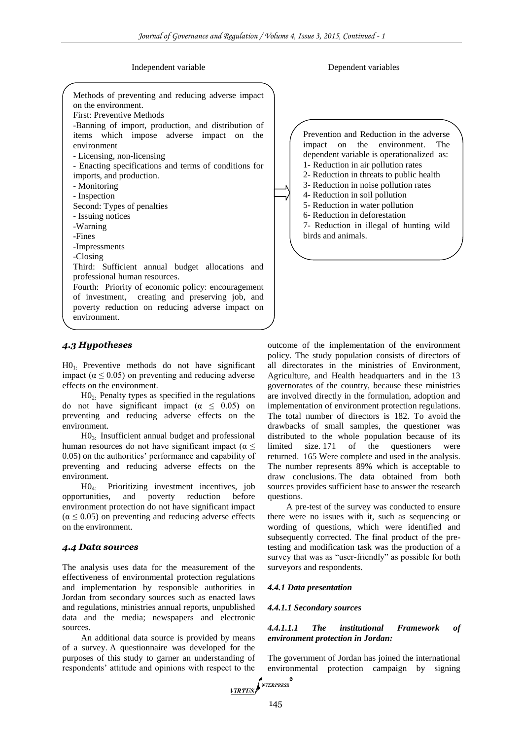Independent variable Dependent variables

| Methods of preventing and reducing adverse impact<br>on the environment.<br>First: Preventive Methods<br>-Banning of import, production, and distribution of<br>items which impose adverse impact on<br>the<br>environment<br>- Licensing, non-licensing<br>- Enacting specifications and terms of conditions for<br>imports, and production.<br>- Monitoring<br>- Inspection<br>Second: Types of penalties<br>- Issuing notices<br>-Warning<br>-Fines<br>-Impressments |  |
|-------------------------------------------------------------------------------------------------------------------------------------------------------------------------------------------------------------------------------------------------------------------------------------------------------------------------------------------------------------------------------------------------------------------------------------------------------------------------|--|
| -Closing                                                                                                                                                                                                                                                                                                                                                                                                                                                                |  |
| Third: Sufficient annual budget allocations and<br>professional human resources.<br>Fourth: Priority of economic policy: encouragement<br>of investment, creating and preserving job, and<br>poverty reduction on reducing adverse impact on<br>environment.                                                                                                                                                                                                            |  |

# Prevention and Reduction in the adverse impact on the environment. The dependent variable is operationalized as: 1- Reduction in air pollution rates 2- Reduction in threats to public health 3- Reduction in noise pollution rates 4- Reduction in soil pollution 5- Reduction in water pollution 6- Reduction in deforestation 7- Reduction in illegal of hunting wild birds and animals.

## *4.3 Hypotheses*

H01: Preventive methods do not have significant impact ( $\alpha \leq 0.05$ ) on preventing and reducing adverse effects on the environment.

 $HO<sub>2</sub>$ : Penalty types as specified in the regulations do not have significant impact  $(\alpha \leq 0.05)$  on preventing and reducing adverse effects on the environment.

H03: Insufficient annual budget and professional human resources do not have significant impact ( $\alpha \leq$ 0.05) on the authorities' performance and capability of preventing and reducing adverse effects on the environment.

H04: Prioritizing investment incentives, job opportunities, and poverty reduction before environment protection do not have significant impact  $(\alpha \leq 0.05)$  on preventing and reducing adverse effects on the environment.

#### *4.4 Data sources*

The analysis uses data for the measurement of the effectiveness of environmental protection regulations and implementation by responsible authorities in Jordan from secondary sources such as enacted laws and regulations, ministries annual reports, unpublished data and the media; newspapers and electronic sources.

An additional data source is provided by means of a survey. A questionnaire was developed for the purposes of this study to garner an understanding of respondents' attitude and opinions with respect to the outcome of the implementation of the environment policy. The study population consists of directors of all directorates in the ministries of Environment, Agriculture, and Health headquarters and in the 13 governorates of the country, because these ministries are involved directly in the formulation, adoption and implementation of environment protection regulations. The total number of directors is 182. To avoid the drawbacks of small samples, the questioner was distributed to the whole population because of its limited size. 171 of the questioners were returned. 165 Were complete and used in the analysis. The number represents 89% which is acceptable to draw conclusions. The data obtained from both sources provides sufficient base to answer the research questions.

A pre-test of the survey was conducted to ensure there were no issues with it, such as sequencing or wording of questions, which were identified and subsequently corrected. The final product of the pretesting and modification task was the production of a survey that was as "user-friendly" as possible for both surveyors and respondents.

#### *4.4.1 Data presentation*

#### *4.4.1.1 Secondary sources*

#### *4.4.1.1.1 The institutional Framework of environment protection in Jordan:*

The government of Jordan has joined the international environmental protection campaign by signing

VIRTUS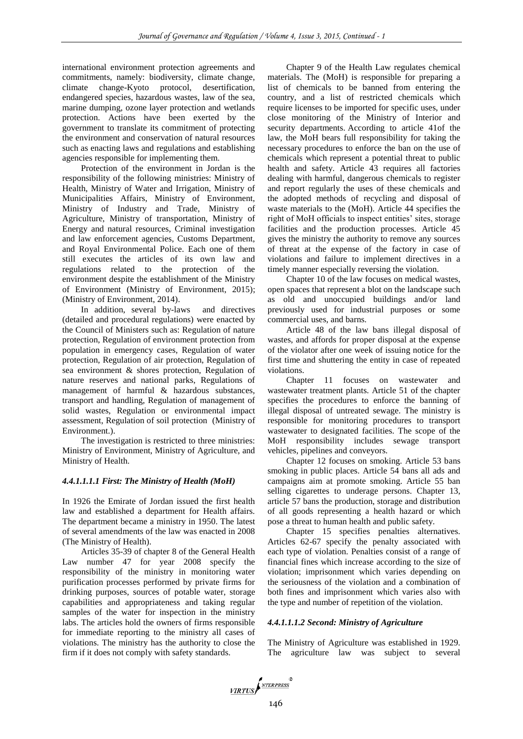international environment protection agreements and commitments, namely: biodiversity, climate change, climate change-Kyoto protocol, desertification, endangered species, hazardous wastes, law of the sea, marine dumping, ozone layer protection and wetlands protection. Actions have been exerted by the government to translate its commitment of protecting the environment and conservation of natural resources such as enacting laws and regulations and establishing agencies responsible for implementing them.

Protection of the environment in Jordan is the responsibility of the following ministries: Ministry of Health, Ministry of Water and Irrigation, Ministry of Municipalities Affairs, Ministry of Environment, Ministry of Industry and Trade, Ministry of Agriculture, Ministry of transportation, Ministry of Energy and natural resources, Criminal investigation and law enforcement agencies, Customs Department, and Royal Environmental Police. Each one of them still executes the articles of its own law and regulations related to the protection of the environment despite the establishment of the Ministry of Environment (Ministry of Environment, 2015); (Ministry of Environment, 2014).

In addition, several by-laws and directives (detailed and procedural regulations) were enacted by the Council of Ministers such as: Regulation of nature protection, Regulation of environment protection from population in emergency cases, Regulation of water protection, Regulation of air protection, Regulation of sea environment & shores protection, Regulation of nature reserves and national parks, Regulations of management of harmful & hazardous substances, transport and handling, Regulation of management of solid wastes, Regulation or environmental impact assessment, Regulation of soil protection (Ministry of Environment.).

The investigation is restricted to three ministries: Ministry of Environment, Ministry of Agriculture, and Ministry of Health.

#### *4.4.1.1.1.1 First: The Ministry of Health (MoH)*

In 1926 the Emirate of Jordan issued the first health law and established a department for Health affairs. The department became a ministry in 1950. The latest of several amendments of the law was enacted in 2008 (The Ministry of Health).

Articles 35-39 of chapter 8 of the General Health Law number 47 for year 2008 specify the responsibility of the ministry in monitoring water purification processes performed by private firms for drinking purposes, sources of potable water, storage capabilities and appropriateness and taking regular samples of the water for inspection in the ministry labs. The articles hold the owners of firms responsible for immediate reporting to the ministry all cases of violations. The ministry has the authority to close the firm if it does not comply with safety standards.

Chapter 9 of the Health Law regulates chemical materials. The (MoH) is responsible for preparing a list of chemicals to be banned from entering the country, and a list of restricted chemicals which require licenses to be imported for specific uses, under close monitoring of the Ministry of Interior and security departments. According to article 41of the law, the MoH bears full responsibility for taking the necessary procedures to enforce the ban on the use of chemicals which represent a potential threat to public health and safety. Article 43 requires all factories dealing with harmful, dangerous chemicals to register and report regularly the uses of these chemicals and the adopted methods of recycling and disposal of waste materials to the (MoH). Article 44 specifies the right of MoH officials to inspect entities' sites, storage facilities and the production processes. Article 45 gives the ministry the authority to remove any sources of threat at the expense of the factory in case of violations and failure to implement directives in a timely manner especially reversing the violation.

Chapter 10 of the law focuses on medical wastes, open spaces that represent a blot on the landscape such as old and unoccupied buildings and/or land previously used for industrial purposes or some commercial uses, and barns.

Article 48 of the law bans illegal disposal of wastes, and affords for proper disposal at the expense of the violator after one week of issuing notice for the first time and shuttering the entity in case of repeated violations.

Chapter 11 focuses on wastewater and wastewater treatment plants. Article 51 of the chapter specifies the procedures to enforce the banning of illegal disposal of untreated sewage. The ministry is responsible for monitoring procedures to transport wastewater to designated facilities. The scope of the MoH responsibility includes sewage transport vehicles, pipelines and conveyors.

Chapter 12 focuses on smoking. Article 53 bans smoking in public places. Article 54 bans all ads and campaigns aim at promote smoking. Article 55 ban selling cigarettes to underage persons. Chapter 13, article 57 bans the production, storage and distribution of all goods representing a health hazard or which pose a threat to human health and public safety.

Chapter 15 specifies penalties alternatives. Articles 62-67 specify the penalty associated with each type of violation. Penalties consist of a range of financial fines which increase according to the size of violation; imprisonment which varies depending on the seriousness of the violation and a combination of both fines and imprisonment which varies also with the type and number of repetition of the violation.

#### *4.4.1.1.1.2 Second: Ministry of Agriculture*

The Ministry of Agriculture was established in 1929. The agriculture law was subject to several

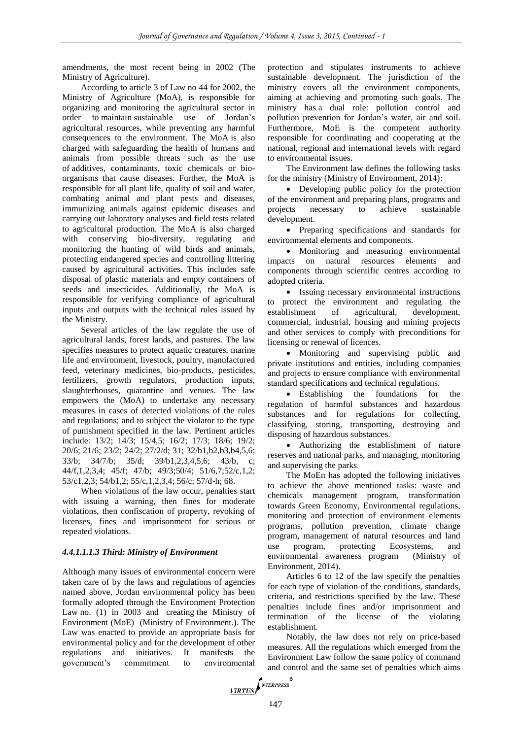amendments, the most recent being in 2002 (The Ministry of Agriculture).

According to article 3 of Law no 44 for 2002, the Ministry of Agriculture (MoA), is responsible for organizing and monitoring the agricultural sector in order to maintain sustainable use of Jordan's agricultural resources, while preventing any harmful consequences to the environment. The MoA is also charged with safeguarding the health of humans and animals from possible threats such as the use of additives, contaminants, toxic chemicals or bioorganisms that cause diseases. Further, the MoA is responsible for all plant life, quality of soil and water, combating animal and plant pests and diseases, immunizing animals against epidemic diseases and carrying out laboratory analyses and field tests related to agricultural production. The MoA is also charged with conserving bio-diversity, regulating and monitoring the hunting of wild birds and animals, protecting endangered species and controlling littering caused by agricultural activities. This includes safe disposal of plastic materials and empty containers of seeds and insecticides. Additionally, the MoA is responsible for verifying compliance of agricultural inputs and outputs with the technical rules issued by the Ministry.

Several articles of the law regulate the use of agricultural lands, forest lands, and pastures. The law specifies measures to protect aquatic creatures, marine life and environment, livestock, poultry, manufactured feed, veterinary medicines, bio-products, pesticides, fertilizers, growth regulators, production inputs, slaughterhouses, quarantine and venues. The law empowers the (MoA) to undertake any necessary measures in cases of detected violations of the rules and regulations; and to subject the violator to the type of punishment specified in the law. Pertinent articles include: 13/2; 14/3; 15/4,5; 16/2; 17/3; 18/6; 19/2; 20/6; 21/6; 23/2; 24/2; 27/2/d; 31; 32/b1,b2,b3,b4,5,6; 33/b; 34/7/b; 35/d; 39/b1,2,3,4,5,6; 43/b, c; 44/f,1,2,3,4; 45/f; 47/b; 49/3;50/4; 51/6,7;52/c,1,2; 53/c1,2,3; 54/b1,2; 55/c,1,2,3,4; 56/c; 57/d-h; 68.

When violations of the law occur, penalties start with issuing a warning, then fines for moderate violations, then confiscation of property, revoking of licenses, fines and imprisonment for serious or repeated violations.

## *4.4.1.1.1.3 Third: Ministry of Environment*

Although many issues of environmental concern were taken care of by the laws and regulations of agencies named above, Jordan environmental policy has been formally adopted through the Environment Protection Law no. (1) in 2003 and creating the Ministry of Environment (MoE) (Ministry of Environment.). The Law was enacted to provide an appropriate basis for environmental policy and for the development of other regulations and initiatives. It manifests the government's commitment to environmental

protection and stipulates instruments to achieve sustainable development. The jurisdiction of the ministry covers all the environment components, aiming at achieving and promoting such goals. The ministry has a dual role: pollution control and pollution prevention for Jordan's water, air and soil. Furthermore, MoE is the competent authority responsible for coordinating and cooperating at the national, regional and international levels with regard to environmental issues.

The Environment law defines the following tasks for the ministry (Ministry of Environment, 2014):

• Developing public policy for the protection of the environment and preparing plans, programs and projects necessary to achieve sustainable development.

 Preparing specifications and standards for environmental elements and components.

• Monitoring and measuring environmental impacts on natural resources elements and components through scientific centres according to adopted criteria.

 Issuing necessary environmental instructions to protect the environment and regulating the establishment of agricultural, development, commercial, industrial, housing and mining projects and other services to comply with preconditions for licensing or renewal of licences.

 Monitoring and supervising public and private institutions and entities, including companies and projects to ensure compliance with environmental standard specifications and technical regulations.

• Establishing the foundations for the regulation of harmful substances and hazardous substances and for regulations for collecting, classifying, storing, transporting, destroying and disposing of hazardous substances.

 Authorizing the establishment of nature reserves and national parks, and managing, monitoring and supervising the parks.

The MoEn has adopted the following initiatives to achieve the above mentioned tasks: waste and chemicals management program, transformation towards Green Economy, Environmental regulations, monitoring and protection of environment elements programs, pollution prevention, climate change program, management of natural resources and land use program, protecting Ecosystems, and environmental awareness program (Ministry of Environment, 2014).

Articles 6 to 12 of the law specify the penalties for each type of violation of the conditions, standards, criteria, and restrictions specified by the law. These penalties include fines and/or imprisonment and termination of the license of the violating establishment.

Notably, the law does not rely on price-based measures. All the regulations which emerged from the Environment Law follow the same policy of command and control and the same set of penalties which aims

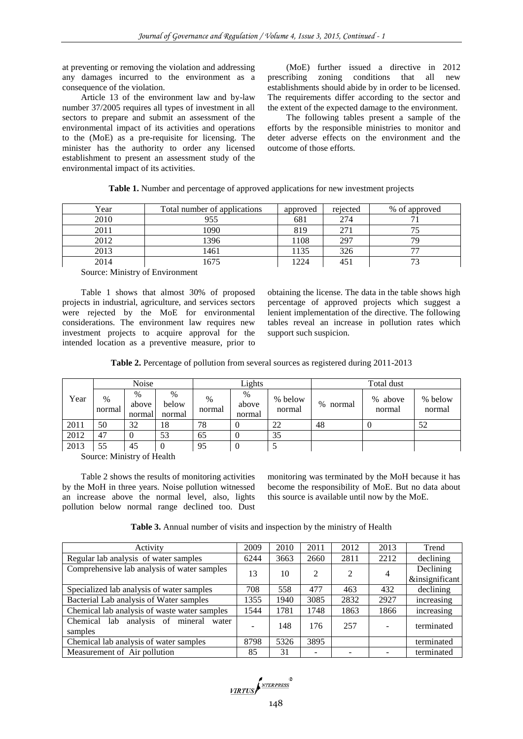at preventing or removing the violation and addressing any damages incurred to the environment as a consequence of the violation.

Article 13 of the environment law and by-law number 37/2005 requires all types of investment in all sectors to prepare and submit an assessment of the environmental impact of its activities and operations to the (MoE) as a pre-requisite for licensing. The minister has the authority to order any licensed establishment to present an assessment study of the environmental impact of its activities.

(MoE) further issued a directive in 2012 prescribing zoning conditions that all new establishments should abide by in order to be licensed. The requirements differ according to the sector and the extent of the expected damage to the environment.

The following tables present a sample of the efforts by the responsible ministries to monitor and deter adverse effects on the environment and the outcome of those efforts.

|  | Table 1. Number and percentage of approved applications for new investment projects |
|--|-------------------------------------------------------------------------------------|
|  |                                                                                     |

| Year | Total number of applications | approved | rejected | % of approved |
|------|------------------------------|----------|----------|---------------|
| 2010 | 955                          | 681      | 274      |               |
| 2011 | 1090                         | 819      |          |               |
| 2012 | 1396                         | 1108     | 297      |               |
| 2013 | 1461                         | . 135    | 326      | – –           |
| 2014 | 675                          | 1224     |          | $7^{\circ}$   |

Source: Ministry of Environment

Table 1 shows that almost 30% of proposed projects in industrial, agriculture, and services sectors were rejected by the MoE for environmental considerations. The environment law requires new investment projects to acquire approval for the intended location as a preventive measure, prior to obtaining the license. The data in the table shows high percentage of approved projects which suggest a lenient implementation of the directive. The following tables reveal an increase in pollution rates which support such suspicion.

| Table 2. Percentage of pollution from several sources as registered during 2011-2013 |  |  |  |  |
|--------------------------------------------------------------------------------------|--|--|--|--|
|                                                                                      |  |  |  |  |

|      |                | Noise                   |                         |                | Lights               |                   |                | Total dust        |                   |
|------|----------------|-------------------------|-------------------------|----------------|----------------------|-------------------|----------------|-------------------|-------------------|
| Year | $\%$<br>normal | $\%$<br>above<br>normal | $\%$<br>below<br>normal | $\%$<br>normal | %<br>above<br>normal | % below<br>normal | $\%$<br>normal | % above<br>normal | % below<br>normal |
| 2011 | 50             | 32                      | 18                      | 78             |                      | 22                | 48             |                   | 52                |
| 2012 | 47             |                         | 53                      | 65             |                      | 35                |                |                   |                   |
| 2013 | 55             | 45                      |                         | 95             |                      |                   |                |                   |                   |

Source: Ministry of Health

Table 2 shows the results of monitoring activities by the MoH in three years. Noise pollution witnessed an increase above the normal level, also, lights pollution below normal range declined too. Dust

monitoring was terminated by the MoH because it has become the responsibility of MoE. But no data about this source is available until now by the MoE.

**Table 3.** Annual number of visits and inspection by the ministry of Health

| Activity                                             | 2009 | 2010 | 2011 | 2012 | 2013 | Trend                       |
|------------------------------------------------------|------|------|------|------|------|-----------------------------|
| Regular lab analysis of water samples                | 6244 | 3663 | 2660 | 2811 | 2212 | declining                   |
| Comprehensive lab analysis of water samples          | 13   | 10   | 2    | 2    | 4    | Declining<br>&insignificant |
| Specialized lab analysis of water samples            | 708  | 558  | 477  | 463  | 432  | declining                   |
| Bacterial Lab analysis of Water samples              | 1355 | 1940 | 3085 | 2832 | 2927 | increasing                  |
| Chemical lab analysis of waste water samples         | 1544 | 1781 | 1748 | 1863 | 1866 | increasing                  |
| Chemical lab analysis of mineral<br>water<br>samples |      | 148  | 176  | 257  |      | terminated                  |
| Chemical lab analysis of water samples               | 8798 | 5326 | 3895 |      |      | terminated                  |
| Measurement of Air pollution                         | 85   | 31   |      |      |      | terminated                  |

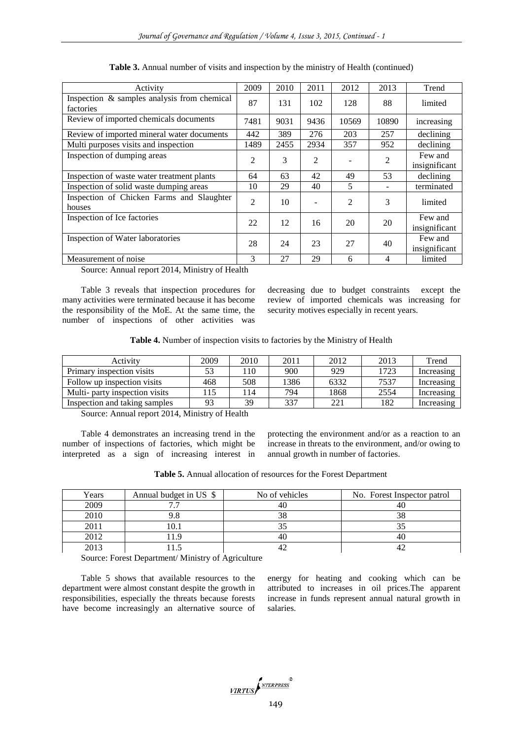| Activity                                                 | 2009           | 2010 | 2011           | 2012           | 2013  | Trend                    |
|----------------------------------------------------------|----------------|------|----------------|----------------|-------|--------------------------|
| Inspection & samples analysis from chemical<br>factories | 87             | 131  | 102            | 128            | 88    | limited                  |
| Review of imported chemicals documents                   | 7481           | 9031 | 9436           | 10569          | 10890 | increasing               |
| Review of imported mineral water documents               | 442            | 389  | 276            | 203            | 257   | declining                |
| Multi purposes visits and inspection                     | 1489           | 2455 | 2934           | 357            | 952   | declining                |
| Inspection of dumping areas                              | 2              | 3    | $\overline{c}$ |                | 2     | Few and<br>insignificant |
|                                                          |                |      |                |                |       |                          |
| Inspection of waste water treatment plants               | 64             | 63   | 42             | 49             | 53    | declining                |
| Inspection of solid waste dumping areas                  | 10             | 29   | 40             | 5              |       | terminated               |
| Inspection of Chicken Farms and Slaughter<br>houses      | $\overline{c}$ | 10   |                | $\overline{2}$ | 3     | limited                  |
| Inspection of Ice factories                              | 22             | 12   | 16             | 20             | 20    | Few and<br>insignificant |
| Inspection of Water laboratories                         | 28             | 24   | 23             | 27             | 40    | Few and<br>insignificant |
| Measurement of noise                                     | 3              | 27   | 29             | 6              | 4     | limited                  |

**Table 3.** Annual number of visits and inspection by the ministry of Health (continued)

Source: Annual report 2014, Ministry of Health

Table 3 reveals that inspection procedures for many activities were terminated because it has become the responsibility of the MoE. At the same time, the number of inspections of other activities was

decreasing due to budget constraints except the review of imported chemicals was increasing for security motives especially in recent years.

|  |  |  | Table 4. Number of inspection visits to factories by the Ministry of Health |  |  |
|--|--|--|-----------------------------------------------------------------------------|--|--|
|  |  |  |                                                                             |  |  |

| Activity                       | 2009 | 2010 | 2011 | 2012 | 2013 | Trend      |
|--------------------------------|------|------|------|------|------|------------|
| Primary inspection visits      |      | 10،  | 900  | 929  | 1723 | Increasing |
| Follow up inspection visits    | 468  | 508  | 1386 | 6332 | 7537 | Increasing |
| Multi- party inspection visits | 15   | 14   | 794  | 1868 | 2554 | Increasing |
| Inspection and taking samples  | 93   | 39   | 337  | 221  | 182  | Increasing |

Source: Annual report 2014, Ministry of Health

Table 4 demonstrates an increasing trend in the number of inspections of factories, which might be interpreted as a sign of increasing interest in protecting the environment and/or as a reaction to an increase in threats to the environment, and/or owing to annual growth in number of factories.

**Table 5.** Annual allocation of resources for the Forest Department

| Years | Annual budget in US \$ | No of vehicles | No. Forest Inspector patrol |
|-------|------------------------|----------------|-----------------------------|
| 2009  |                        |                |                             |
| 2010  |                        | 38             | 38                          |
| 2011  |                        |                |                             |
| 2012  |                        |                |                             |
| 2013  |                        |                |                             |

Source: Forest Department/ Ministry of Agriculture

Table 5 shows that available resources to the department were almost constant despite the growth in responsibilities, especially the threats because forests have become increasingly an alternative source of

energy for heating and cooking which can be attributed to increases in oil prices.The apparent increase in funds represent annual natural growth in salaries.

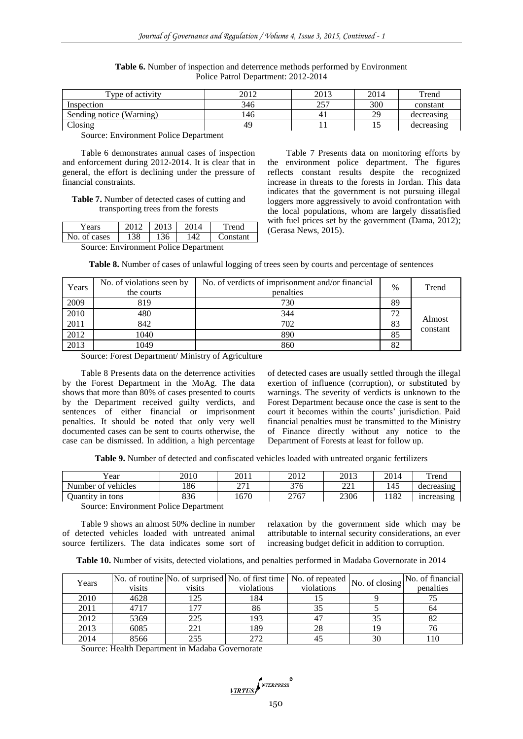| Type of activity         | 2012 | 2013      | 2014    | Trend      |
|--------------------------|------|-----------|---------|------------|
| Inspection               | 346  | 257<br>ر_ | 300     | constant   |
| Sending notice (Warning) | 146  | 4.        | 20<br>∼ | decreasing |
| Closing                  | 49   |           | ⊥৺      | decreasing |

**Table 6.** Number of inspection and deterrence methods performed by Environment Police Patrol Department: 2012-2014

Source: Environment Police Department

Table 6 demonstrates annual cases of inspection and enforcement during 2012-2014. It is clear that in general, the effort is declining under the pressure of financial constraints.

**Table 7.** Number of detected cases of cutting and transporting trees from the forests

| Years                                 | $\boxed{2012}$ 2013 |      | 2014 | Trend    |  |  |  |
|---------------------------------------|---------------------|------|------|----------|--|--|--|
| No. of cases                          | 138                 | -136 | 142  | Constant |  |  |  |
| Source: Environment Police Department |                     |      |      |          |  |  |  |

Table 7 Presents data on monitoring efforts by the environment police department. The figures reflects constant results despite the recognized increase in threats to the forests in Jordan. This data indicates that the government is not pursuing illegal loggers more aggressively to avoid confrontation with the local populations, whom are largely dissatisfied with fuel prices set by the government (Dama, 2012); (Gerasa News, 2015).

**Table 8.** Number of cases of unlawful logging of trees seen by courts and percentage of sentences

| Years | No. of violations seen by<br>the courts | No. of verdicts of imprisonment and/or financial<br>penalties | $\frac{0}{0}$ | Trend              |
|-------|-----------------------------------------|---------------------------------------------------------------|---------------|--------------------|
| 2009  | 819                                     | 730                                                           | 89            |                    |
| 2010  | 480                                     | 344                                                           | 72            |                    |
| 2011  | 842                                     | 702                                                           | 83            | Almost<br>constant |
| 2012  | 1040                                    | 890                                                           | 85            |                    |
| 2013  | 1049                                    | 860                                                           | 82            |                    |

Source: Forest Department/ Ministry of Agriculture

Table 8 Presents data on the deterrence activities by the Forest Department in the MoAg. The data shows that more than 80% of cases presented to courts by the Department received guilty verdicts, and sentences of either financial or imprisonment penalties. It should be noted that only very well documented cases can be sent to courts otherwise, the case can be dismissed. In addition, a high percentage of detected cases are usually settled through the illegal exertion of influence (corruption), or substituted by warnings. The severity of verdicts is unknown to the Forest Department because once the case is sent to the court it becomes within the courts' jurisdiction. Paid financial penalties must be transmitted to the Ministry of Finance directly without any notice to the Department of Forests at least for follow up.

**Table 9.** Number of detected and confiscated vehicles loaded with untreated organic fertilizers

| x y<br>′ear            | 2010                                             | 2011                | 2012 | 2013                   | 2014 | rend       |
|------------------------|--------------------------------------------------|---------------------|------|------------------------|------|------------|
| Number of<br>vehicles  | 86                                               | $\sqrt{71}$<br>41 L | 376  | $\mathbf{221}$<br>44.1 | 145  | decreasing |
| tons<br>1n<br>Juantity | 836                                              | 1670                | 2767 | 2306                   | 1182 | increasing |
| $\blacksquare$         | $\overline{\phantom{a}}$<br>$\sim$ $\sim$ $\sim$ |                     |      |                        |      |            |

Source: Environment Police Department

Table 9 shows an almost 50% decline in number of detected vehicles loaded with untreated animal source fertilizers. The data indicates some sort of

relaxation by the government side which may be attributable to internal security considerations, an ever increasing budget deficit in addition to corruption.

| Years | visits | visits | violations | [No. of routine No. of surprised No. of first time   No. of repeated $ $ No. of closing $ ^{N}$<br>violations |    | No. of financial<br>penalties |
|-------|--------|--------|------------|---------------------------------------------------------------------------------------------------------------|----|-------------------------------|
| 2010  | 4628   | 125    | 184        |                                                                                                               |    |                               |
| 2011  | 4717   | 177    | 86         |                                                                                                               |    | 64                            |
| 2012  | 5369   | 225    | 193        |                                                                                                               |    |                               |
| 2013  | 6085   | 221    | 189        | 28                                                                                                            |    |                               |
| 2014  | 8566   | 255    | 272        |                                                                                                               | 30 |                               |

Source: Health Department in Madaba Governorate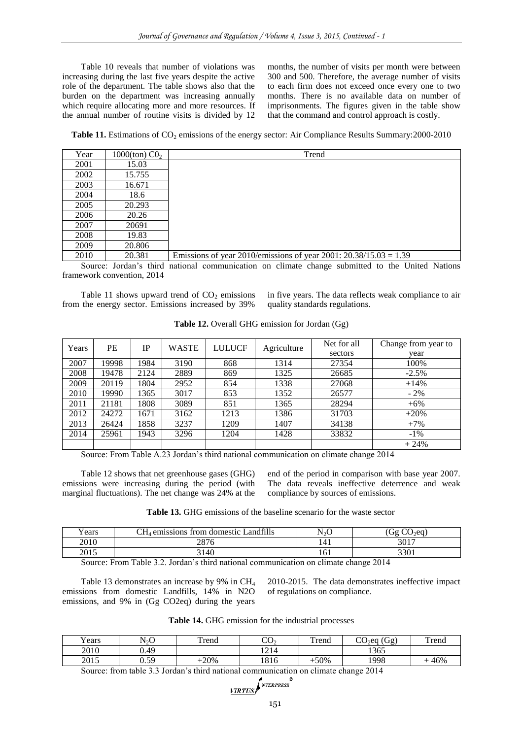Table 10 reveals that number of violations was increasing during the last five years despite the active role of the department. The table shows also that the burden on the department was increasing annually which require allocating more and more resources. If the annual number of routine visits is divided by 12 months, the number of visits per month were between 300 and 500. Therefore, the average number of visits to each firm does not exceed once every one to two months. There is no available data on number of imprisonments. The figures given in the table show that the command and control approach is costly.

**Table 11.** Estimations of CO<sub>2</sub> emissions of the energy sector: Air Compliance Results Summary: 2000-2010

| Year | 1000(ton) $C_2$ | Trend                                                               |
|------|-----------------|---------------------------------------------------------------------|
| 2001 | 15.03           |                                                                     |
| 2002 | 15.755          |                                                                     |
| 2003 | 16.671          |                                                                     |
| 2004 | 18.6            |                                                                     |
| 2005 | 20.293          |                                                                     |
| 2006 | 20.26           |                                                                     |
| 2007 | 20691           |                                                                     |
| 2008 | 19.83           |                                                                     |
| 2009 | 20.806          |                                                                     |
| 2010 | 20.381          | Emissions of year 2010/emissions of year 2001: $20.38/15.03 = 1.39$ |

Source: Jordan's third national communication on climate change submitted to the United Nations framework convention, 2014

Table 11 shows upward trend of  $CO<sub>2</sub>$  emissions from the energy sector. Emissions increased by 39%

in five years. The data reflects weak compliance to air quality standards regulations.

| Table 12. Overall GHG emission for Jordan (Gg) |  |  |  |
|------------------------------------------------|--|--|--|
|------------------------------------------------|--|--|--|

| Years | PE    | IP   | <b>WASTE</b> | <b>LULUCF</b> |             | Net for all | Change from year to |
|-------|-------|------|--------------|---------------|-------------|-------------|---------------------|
|       |       |      |              |               | Agriculture | sectors     | year                |
| 2007  | 19998 | 1984 | 3190         | 868           | 1314        | 27354       | 100%                |
| 2008  | 19478 | 2124 | 2889         | 869           | 1325        | 26685       | $-2.5%$             |
| 2009  | 20119 | 1804 | 2952         | 854           | 1338        | 27068       | $+14%$              |
| 2010  | 19990 | 1365 | 3017         | 853           | 1352        | 26577       | $-2\%$              |
| 2011  | 21181 | 1808 | 3089         | 851           | 1365        | 28294       | $+6\%$              |
| 2012  | 24272 | 1671 | 3162         | 1213          | 1386        | 31703       | $+20%$              |
| 2013  | 26424 | 1858 | 3237         | 1209          | 1407        | 34138       | $+7%$               |
| 2014  | 25961 | 1943 | 3296         | 1204          | 1428        | 33832       | $-1\%$              |
|       |       |      |              |               |             |             | $+24%$              |

Source: From Table A.23 Jordan's third national communication on climate change 2014

Table 12 shows that net greenhouse gases (GHG) emissions were increasing during the period (with marginal fluctuations). The net change was 24% at the end of the period in comparison with base year 2007. The data reveals ineffective deterrence and weak compliance by sources of emissions.

| <b>Table 13.</b> GHG emissions of the baseline scenario for the waste sector |  |
|------------------------------------------------------------------------------|--|
|------------------------------------------------------------------------------|--|

| - -<br>⁄ ears | Landfills<br>emissions -<br>; from domestic . | N2O | 2eQ<br>τσ   |
|---------------|-----------------------------------------------|-----|-------------|
| 2010          | 2876                                          |     | 3017        |
| 2015          | 3140                                          | 101 | 2201<br>oou |

Source: From Table 3.2. Jordan's third national communication on climate change 2014

Table 13 demonstrates an increase by 9% in CH<sub>4</sub> emissions from domestic Landfills, 14% in N2O emissions, and 9% in (Gg CO2eq) during the years 2010-2015. The data demonstrates ineffective impact of regulations on compliance.

| Table 14. GHG emission for the industrial processes |  |  |
|-----------------------------------------------------|--|--|
|-----------------------------------------------------|--|--|

| $\mathbf{v}$<br>rears | $N_2O$ | Trend  | nη<br>U.          | Trena | Gg)<br>$\cap$<br>J∍ea<br>UV. | Trend |
|-----------------------|--------|--------|-------------------|-------|------------------------------|-------|
| 2010                  | 0.49   |        | $\sqrt{1}$<br>+∠+ |       | 1365                         |       |
| 2015                  | 0.59   | $-20%$ | 1816              | -50%  | 1998                         | 46%   |

Source: from table 3.3 Jordan's third national communication on climate change 2014

**VIRTUS** 
$$
\sum_{\text{VIRTUS}}
$$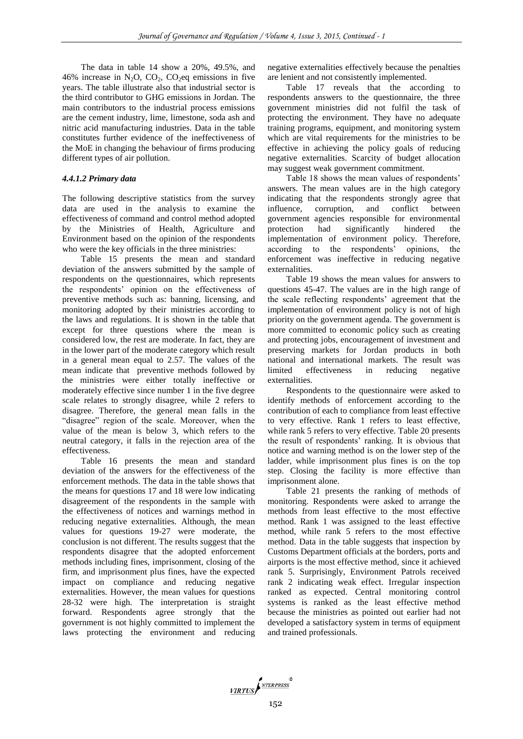The data in table 14 show a 20%, 49.5%, and 46% increase in  $N_2O$ ,  $CO_2$ ,  $CO_2$ eq emissions in five years. The table illustrate also that industrial sector is the third contributor to GHG emissions in Jordan. The main contributors to the industrial process emissions are the cement industry, lime, limestone, soda ash and nitric acid manufacturing industries. Data in the table constitutes further evidence of the ineffectiveness of the MoE in changing the behaviour of firms producing different types of air pollution.

#### *4.4.1.2 Primary data*

The following descriptive statistics from the survey data are used in the analysis to examine the effectiveness of command and control method adopted by the Ministries of Health, Agriculture and Environment based on the opinion of the respondents who were the key officials in the three ministries:

Table 15 presents the mean and standard deviation of the answers submitted by the sample of respondents on the questionnaires, which represents the respondents' opinion on the effectiveness of preventive methods such as: banning, licensing, and monitoring adopted by their ministries according to the laws and regulations. It is shown in the table that except for three questions where the mean is considered low, the rest are moderate. In fact, they are in the lower part of the moderate category which result in a general mean equal to 2.57. The values of the mean indicate that preventive methods followed by the ministries were either totally ineffective or moderately effective since number 1 in the five degree scale relates to strongly disagree, while 2 refers to disagree. Therefore, the general mean falls in the "disagree" region of the scale. Moreover, when the value of the mean is below 3, which refers to the neutral category, it falls in the rejection area of the effectiveness.

Table 16 presents the mean and standard deviation of the answers for the effectiveness of the enforcement methods. The data in the table shows that the means for questions 17 and 18 were low indicating disagreement of the respondents in the sample with the effectiveness of notices and warnings method in reducing negative externalities. Although, the mean values for questions 19-27 were moderate, the conclusion is not different. The results suggest that the respondents disagree that the adopted enforcement methods including fines, imprisonment, closing of the firm, and imprisonment plus fines, have the expected impact on compliance and reducing negative externalities. However, the mean values for questions 28-32 were high. The interpretation is straight forward. Respondents agree strongly that the government is not highly committed to implement the laws protecting the environment and reducing

negative externalities effectively because the penalties are lenient and not consistently implemented.

Table 17 reveals that the according to respondents answers to the questionnaire, the three government ministries did not fulfil the task of protecting the environment. They have no adequate training programs, equipment, and monitoring system which are vital requirements for the ministries to be effective in achieving the policy goals of reducing negative externalities. Scarcity of budget allocation may suggest weak government commitment.

Table 18 shows the mean values of respondents' answers. The mean values are in the high category indicating that the respondents strongly agree that influence, corruption, and conflict between government agencies responsible for environmental protection had significantly hindered the implementation of environment policy. Therefore, according to the respondents' opinions, the enforcement was ineffective in reducing negative externalities.

Table 19 shows the mean values for answers to questions 45-47. The values are in the high range of the scale reflecting respondents' agreement that the implementation of environment policy is not of high priority on the government agenda. The government is more committed to economic policy such as creating and protecting jobs, encouragement of investment and preserving markets for Jordan products in both national and international markets. The result was limited effectiveness in reducing negative externalities.

Respondents to the questionnaire were asked to identify methods of enforcement according to the contribution of each to compliance from least effective to very effective. Rank 1 refers to least effective, while rank 5 refers to very effective. Table 20 presents the result of respondents' ranking. It is obvious that notice and warning method is on the lower step of the ladder, while imprisonment plus fines is on the top step. Closing the facility is more effective than imprisonment alone.

Table 21 presents the ranking of methods of monitoring. Respondents were asked to arrange the methods from least effective to the most effective method. Rank 1 was assigned to the least effective method, while rank 5 refers to the most effective method. Data in the table suggests that inspection by Customs Department officials at the borders, ports and airports is the most effective method, since it achieved rank 5. Surprisingly, Environment Patrols received rank 2 indicating weak effect. Irregular inspection ranked as expected. Central monitoring control systems is ranked as the least effective method because the ministries as pointed out earlier had not developed a satisfactory system in terms of equipment and trained professionals.

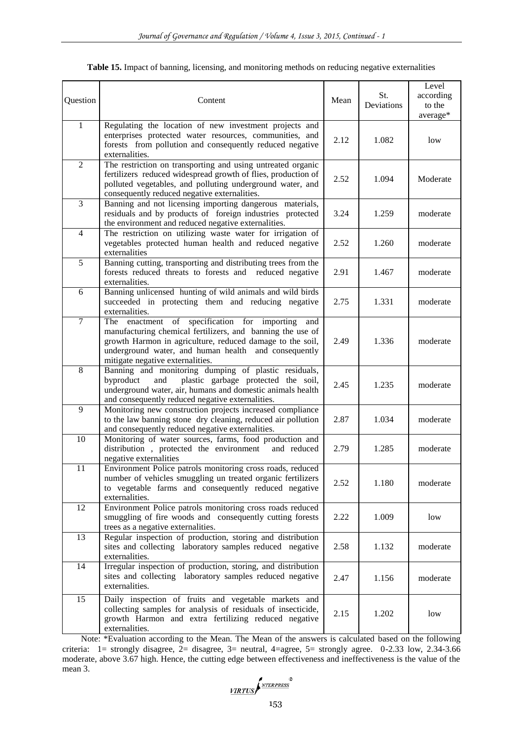| Question       | Content                                                                                                                                                                                                                                                                       | Mean | St.<br>Deviations | Level<br>according<br>to the<br>average* |
|----------------|-------------------------------------------------------------------------------------------------------------------------------------------------------------------------------------------------------------------------------------------------------------------------------|------|-------------------|------------------------------------------|
| $\mathbf{1}$   | Regulating the location of new investment projects and<br>enterprises protected water resources, communities, and<br>forests from pollution and consequently reduced negative<br>externalities.                                                                               | 2.12 | 1.082             | low                                      |
| $\overline{2}$ | The restriction on transporting and using untreated organic<br>fertilizers reduced widespread growth of flies, production of<br>polluted vegetables, and polluting underground water, and<br>consequently reduced negative externalities.                                     | 2.52 | 1.094             | Moderate                                 |
| $\overline{3}$ | Banning and not licensing importing dangerous materials,<br>residuals and by products of foreign industries protected<br>the environment and reduced negative externalities.                                                                                                  | 3.24 | 1.259             | moderate                                 |
| $\overline{4}$ | The restriction on utilizing waste water for irrigation of<br>vegetables protected human health and reduced negative<br>externalities                                                                                                                                         | 2.52 | 1.260             | moderate                                 |
| $\overline{5}$ | Banning cutting, transporting and distributing trees from the<br>forests reduced threats to forests and reduced negative<br>externalities.                                                                                                                                    | 2.91 | 1.467             | moderate                                 |
| 6              | Banning unlicensed hunting of wild animals and wild birds<br>succeeded in protecting them and reducing negative<br>externalities.                                                                                                                                             | 2.75 | 1.331             | moderate                                 |
| $\overline{7}$ | enactment of specification for importing<br>The<br>and<br>manufacturing chemical fertilizers, and banning the use of<br>growth Harmon in agriculture, reduced damage to the soil,<br>underground water, and human health and consequently<br>mitigate negative externalities. | 2.49 | 1.336             | moderate                                 |
| $\overline{8}$ | Banning and monitoring dumping of plastic residuals,<br>byproduct<br>plastic garbage protected the soil,<br>and<br>underground water, air, humans and domestic animals health<br>and consequently reduced negative externalities.                                             | 2.45 | 1.235             | moderate                                 |
| $\overline{9}$ | Monitoring new construction projects increased compliance<br>to the law banning stone dry cleaning, reduced air pollution<br>and consequently reduced negative externalities.                                                                                                 | 2.87 | 1.034             | moderate                                 |
| 10             | Monitoring of water sources, farms, food production and<br>distribution, protected the environment<br>and reduced<br>negative externalities                                                                                                                                   | 2.79 | 1.285             | moderate                                 |
| 11             | Environment Police patrols monitoring cross roads, reduced<br>number of vehicles smuggling un treated organic fertilizers<br>to vegetable farms and consequently reduced negative<br>externalities.                                                                           | 2.52 | 1.180             | moderate                                 |
| 12             | Environment Police patrols monitoring cross roads reduced<br>smuggling of fire woods and consequently cutting forests<br>trees as a negative externalities.                                                                                                                   | 2.22 | 1.009             | low                                      |
| 13             | Regular inspection of production, storing and distribution<br>sites and collecting laboratory samples reduced negative<br>externalities.                                                                                                                                      | 2.58 | 1.132             | moderate                                 |
| 14             | Irregular inspection of production, storing, and distribution<br>sites and collecting laboratory samples reduced negative<br>externalities.                                                                                                                                   | 2.47 | 1.156             | moderate                                 |
| 15             | Daily inspection of fruits and vegetable markets and<br>collecting samples for analysis of residuals of insecticide,<br>growth Harmon and extra fertilizing reduced negative<br>externalities.                                                                                | 2.15 | 1.202             | low                                      |

**Table 15.** Impact of banning, licensing, and monitoring methods on reducing negative externalities

Note: \*Evaluation according to the Mean. The Mean of the answers is calculated based on the following criteria: 1= strongly disagree,  $2$ = disagree,  $3$ = neutral, 4=agree,  $5$ = strongly agree. 0-2.33 low, 2.34-3.66 moderate, above 3.67 high. Hence, the cutting edge between effectiveness and ineffectiveness is the value of the mean 3.

VIRTUS NEERPRESS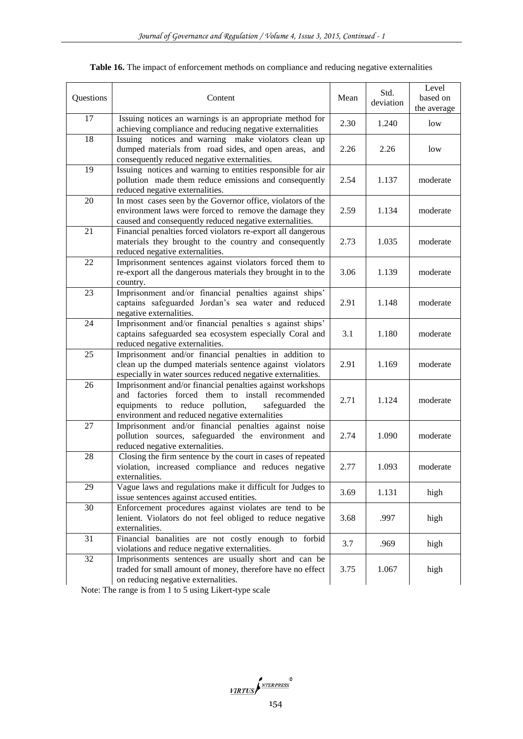| Questions | Content                                                                                                                                                                                                               |      | Std.<br>deviation | Level<br>based on<br>the average |
|-----------|-----------------------------------------------------------------------------------------------------------------------------------------------------------------------------------------------------------------------|------|-------------------|----------------------------------|
| 17        | Issuing notices an warnings is an appropriate method for<br>achieving compliance and reducing negative externalities                                                                                                  | 2.30 | 1.240             | low                              |
| 18        | Issuing notices and warning make violators clean up<br>dumped materials from road sides, and open areas, and<br>consequently reduced negative externalities.                                                          | 2.26 | 2.26              | low                              |
| 19        | Issuing notices and warning to entities responsible for air<br>pollution made them reduce emissions and consequently<br>reduced negative externalities.                                                               | 2.54 | 1.137             | moderate                         |
| 20        | In most cases seen by the Governor office, violators of the<br>environment laws were forced to remove the damage they<br>caused and consequently reduced negative externalities.                                      | 2.59 | 1.134             | moderate                         |
| 21        | Financial penalties forced violators re-export all dangerous<br>materials they brought to the country and consequently<br>reduced negative externalities.                                                             | 2.73 | 1.035             | moderate                         |
| 22        | Imprisonment sentences against violators forced them to<br>re-export all the dangerous materials they brought in to the<br>country.                                                                                   | 3.06 | 1.139             | moderate                         |
| 23        | Imprisonment and/or financial penalties against ships'<br>captains safeguarded Jordan's sea water and reduced<br>negative externalities.                                                                              | 2.91 | 1.148             | moderate                         |
| 24        | Imprisonment and/or financial penalties s against ships'<br>captains safeguarded sea ecosystem especially Coral and<br>reduced negative externalities.                                                                | 3.1  | 1.180             | moderate                         |
| 25        | Imprisonment and/or financial penalties in addition to<br>clean up the dumped materials sentence against violators<br>especially in water sources reduced negative externalities.                                     | 2.91 | 1.169             | moderate                         |
| 26        | Imprisonment and/or financial penalties against workshops<br>and factories forced them to install recommended<br>equipments to reduce pollution,<br>safeguarded the<br>environment and reduced negative externalities | 2.71 | 1.124             | moderate                         |
| 27        | Imprisonment and/or financial penalties against noise<br>pollution sources, safeguarded the environment and<br>reduced negative externalities.                                                                        | 2.74 | 1.090             | moderate                         |
| 28        | Closing the firm sentence by the court in cases of repeated<br>violation, increased compliance and reduces negative<br>externalities.                                                                                 | 2.77 | 1.093             | moderate                         |
| 29        | Vague laws and regulations make it difficult for Judges to<br>issue sentences against accused entities.                                                                                                               | 3.69 | 1.131             | high                             |
| 30        | Enforcement procedures against violates are tend to be<br>lenient. Violators do not feel obliged to reduce negative<br>externalities.                                                                                 | 3.68 | .997              | high                             |
| 31        | Financial banalities are not costly enough to forbid<br>violations and reduce negative externalities.                                                                                                                 | 3.7  | .969              | high                             |
| 32        | Imprisonments sentences are usually short and can be<br>traded for small amount of money, therefore have no effect<br>on reducing negative externalities.                                                             | 3.75 | 1.067             | high                             |

Note: The range is from 1 to 5 using Likert-type scale

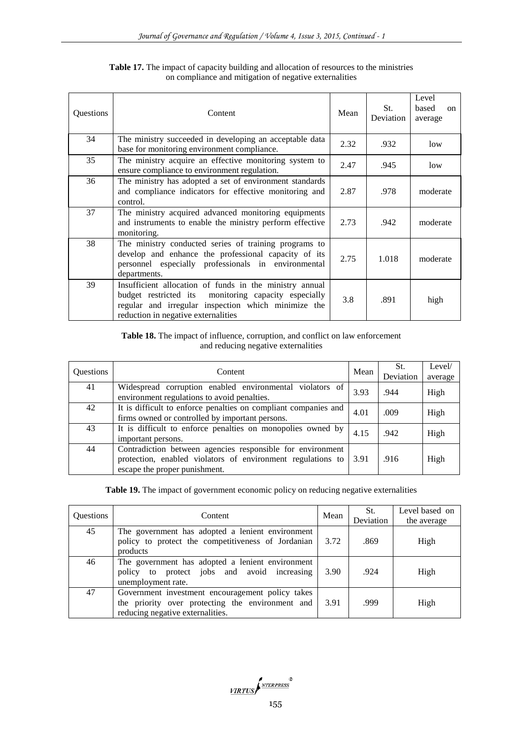| Questions | Content                                                                                                                                                                                                       | Mean | St.<br><b>Deviation</b> | Level<br>based<br>$\alpha$<br>average |
|-----------|---------------------------------------------------------------------------------------------------------------------------------------------------------------------------------------------------------------|------|-------------------------|---------------------------------------|
| 34        | The ministry succeeded in developing an acceptable data<br>base for monitoring environment compliance.                                                                                                        | 2.32 | .932                    | low                                   |
| 35        | The ministry acquire an effective monitoring system to<br>ensure compliance to environment regulation.                                                                                                        | 2.47 | .945                    | low                                   |
| 36        | The ministry has adopted a set of environment standards<br>and compliance indicators for effective monitoring and<br>control.                                                                                 | 2.87 | .978                    | moderate                              |
| 37        | The ministry acquired advanced monitoring equipments<br>and instruments to enable the ministry perform effective<br>monitoring.                                                                               | 2.73 | .942                    | moderate                              |
| 38        | The ministry conducted series of training programs to<br>develop and enhance the professional capacity of its<br>personnel especially professionals in environmental<br>departments.                          |      | 1.018                   | moderate                              |
| 39        | Insufficient allocation of funds in the ministry annual<br>budget restricted its monitoring capacity especially<br>regular and irregular inspection which minimize the<br>reduction in negative externalities | 3.8  | .891                    | high                                  |

**Table 17.** The impact of capacity building and allocation of resources to the ministries on compliance and mitigation of negative externalities

# **Table 18.** The impact of influence, corruption, and conflict on law enforcement and reducing negative externalities

| <b>Ouestions</b> | Content                                                                                                                                                    |      | St.<br>Deviation | Level/<br>average |
|------------------|------------------------------------------------------------------------------------------------------------------------------------------------------------|------|------------------|-------------------|
| 41               | Widespread corruption enabled environmental violators of<br>environment regulations to avoid penalties.                                                    | 3.93 | .944             | High              |
| 42               | It is difficult to enforce penalties on compliant companies and<br>firms owned or controlled by important persons.                                         |      | .009             | High              |
| 43               | It is difficult to enforce penalties on monopolies owned by<br>important persons.                                                                          | 4.15 | .942             | High              |
| 44               | Contradiction between agencies responsible for environment<br>protection, enabled violators of environment regulations to<br>escape the proper punishment. | 3.91 | .916             | High              |

Table 19. The impact of government economic policy on reducing negative externalities

| <b>Ouestions</b> | Mean<br><b>Content</b>                                                                                                                   |      | St.<br>Deviation | Level based on<br>the average |
|------------------|------------------------------------------------------------------------------------------------------------------------------------------|------|------------------|-------------------------------|
| 45               | The government has adopted a lenient environment<br>policy to protect the competitiveness of Jordanian<br>products                       | 3.72 | .869             | High                          |
| 46               | The government has adopted a lenient environment<br>policy to protect jobs and avoid increasing<br>unemployment rate.                    | 3.90 | .924             | High                          |
| 47               | Government investment encouragement policy takes<br>the priority over protecting the environment and<br>reducing negative externalities. | 3.91 | .999             | High                          |

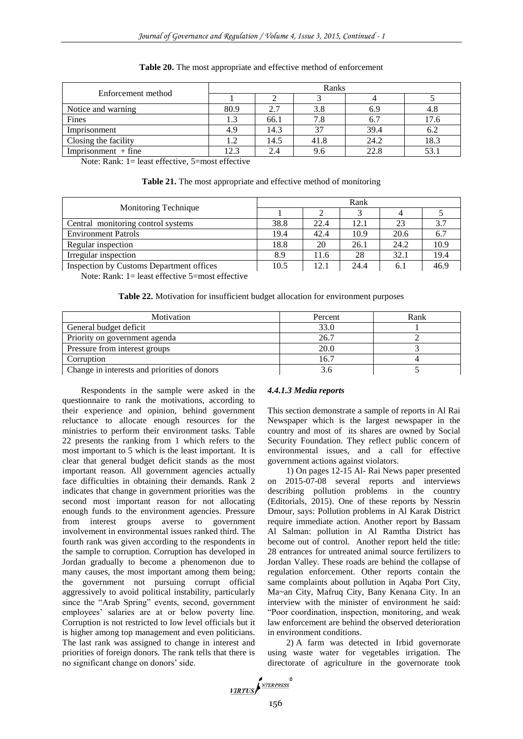|                       | Ranks |      |      |      |      |  |  |
|-----------------------|-------|------|------|------|------|--|--|
| Enforcement method    |       |      |      |      |      |  |  |
| Notice and warning    | 80.9  | 2.7  | 3.8  | 6.9  | 4.8  |  |  |
| Fines                 | 1.3   | 66.1 | 7.8  | 6.7  | 17.6 |  |  |
| Imprisonment          | 4.9   | 14.3 | 37   | 39.4 | 6.2  |  |  |
| Closing the facility  | 1.2   | 14.5 | 41.8 | 24.2 | 18.3 |  |  |
| $Imprisomment + fine$ | 12.3  | 2.4  | 9.6  | 22.8 |      |  |  |

**Table 20.** The most appropriate and effective method of enforcement

Note: Rank: 1= least effective, 5=most effective

|  |  |  |  |  | Table 21. The most appropriate and effective method of monitoring |
|--|--|--|--|--|-------------------------------------------------------------------|
|--|--|--|--|--|-------------------------------------------------------------------|

| Monitoring Technique                     | Rank |      |      |      |      |  |
|------------------------------------------|------|------|------|------|------|--|
|                                          |      |      |      |      |      |  |
| Central monitoring control systems       | 38.8 | 22.4 | 12.1 | 23   | 3.7  |  |
| <b>Environment Patrols</b>               | 19.4 | 42.4 | 10.9 | 20.6 | 6.7  |  |
| Regular inspection                       | 18.8 | 20   | 26.1 | 24.2 | 10.9 |  |
| Irregular inspection                     | 8.9  | 11.6 | 28   | 32.1 | 19.4 |  |
| Inspection by Customs Department offices | 10.5 | 12.1 | 24.4 | 6.1  | 46.9 |  |

Note: Rank: 1= least effective 5=most effective

**Table 22.** Motivation for insufficient budget allocation for environment purposes

| <b>Motivation</b>                            | Percent | Rank |
|----------------------------------------------|---------|------|
| General budget deficit                       | 33.0    |      |
| Priority on government agenda                | 26.7    |      |
| Pressure from interest groups                | 20.0    |      |
| Corruption                                   | 16.7    |      |
| Change in interests and priorities of donors |         |      |

Respondents in the sample were asked in the questionnaire to rank the motivations, according to their experience and opinion, behind government reluctance to allocate enough resources for the ministries to perform their environment tasks. Table 22 presents the ranking from 1 which refers to the most important to 5 which is the least important. It is clear that general budget deficit stands as the most important reason. All government agencies actually face difficulties in obtaining their demands. Rank 2 indicates that change in government priorities was the second most important reason for not allocating enough funds to the environment agencies. Pressure from interest groups averse to government involvement in environmental issues ranked third. The fourth rank was given according to the respondents in the sample to corruption. Corruption has developed in Jordan gradually to become a phenomenon due to many causes, the most important among them being; the government not pursuing corrupt official aggressively to avoid political instability, particularly since the "Arab Spring" events, second, government employees' salaries are at or below poverty line. Corruption is not restricted to low level officials but it is higher among top management and even politicians. The last rank was assigned to change in interest and priorities of foreign donors. The rank tells that there is no significant change on donors' side.

#### *4.4.1.3 Media reports*

This section demonstrate a sample of reports in Al Rai Newspaper which is the largest newspaper in the country and most of its shares are owned by Social Security Foundation. They reflect public concern of environmental issues, and a call for effective government actions against violators.

1) On pages 12-15 Al- Rai News paper presented on 2015-07-08 several reports and interviews describing pollution problems in the country (Editorials, 2015). One of these reports by Nessrin Dmour, says: Pollution problems in Al Karak District require immediate action. Another report by Bassam Al Salman: pollution in Al Ramtha District has become out of control. Another report held the title: 28 entrances for untreated animal source fertilizers to Jordan Valley. These roads are behind the collapse of regulation enforcement. Other reports contain the same complaints about pollution in Aqaba Port City, Ma~an City, Mafruq City, Bany Kenana City. In an interview with the minister of environment he said: "Poor coordination, inspection, monitoring, and weak law enforcement are behind the observed deterioration in environment conditions.

2) A farm was detected in Irbid governorate using waste water for vegetables irrigation. The directorate of agriculture in the governorate took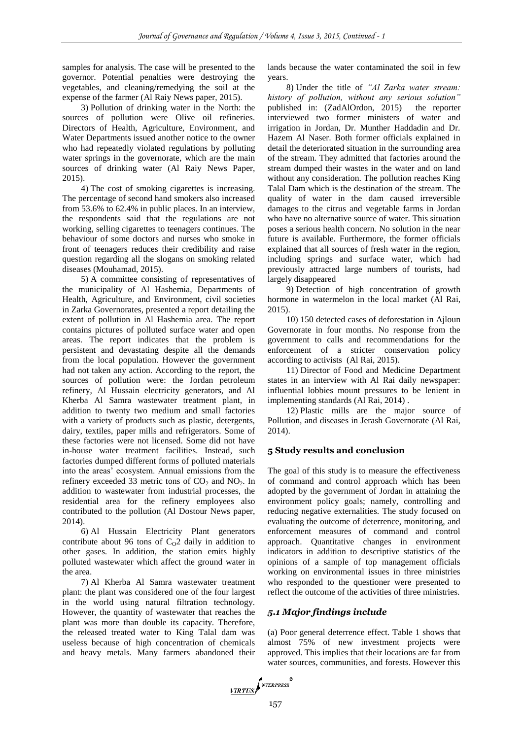samples for analysis. The case will be presented to the governor. Potential penalties were destroying the vegetables, and cleaning/remedying the soil at the expense of the farmer (Al Raiy News paper, 2015).

3) Pollution of drinking water in the North: the sources of pollution were Olive oil refineries. Directors of Health, Agriculture, Environment, and Water Departments issued another notice to the owner who had repeatedly violated regulations by polluting water springs in the governorate, which are the main sources of drinking water (Al Raiy News Paper, 2015).

4) The cost of smoking cigarettes is increasing. The percentage of second hand smokers also increased from 53.6% to 62.4% in public places. In an interview, the respondents said that the regulations are not working, selling cigarettes to teenagers continues. The behaviour of some doctors and nurses who smoke in front of teenagers reduces their credibility and raise question regarding all the slogans on smoking related diseases (Mouhamad, 2015).

5) A committee consisting of representatives of the municipality of Al Hashemia, Departments of Health, Agriculture, and Environment, civil societies in Zarka Governorates, presented a report detailing the extent of pollution in Al Hashemia area. The report contains pictures of polluted surface water and open areas. The report indicates that the problem is persistent and devastating despite all the demands from the local population. However the government had not taken any action. According to the report, the sources of pollution were: the Jordan petroleum refinery, Al Hussain electricity generators, and Al Kherba Al Samra wastewater treatment plant, in addition to twenty two medium and small factories with a variety of products such as plastic, detergents, dairy, textiles, paper mills and refrigerators. Some of these factories were not licensed. Some did not have in-house water treatment facilities. Instead, such factories dumped different forms of polluted materials into the areas' ecosystem. Annual emissions from the refinery exceeded 33 metric tons of  $CO<sub>2</sub>$  and  $NO<sub>2</sub>$ . In addition to wastewater from industrial processes, the residential area for the refinery employees also contributed to the pollution (Al Dostour News paper, 2014).

6) Al Hussain Electricity Plant generators contribute about 96 tons of  $C<sub>0</sub>2$  daily in addition to other gases. In addition, the station emits highly polluted wastewater which affect the ground water in the area.

7) Al Kherba Al Samra wastewater treatment plant: the plant was considered one of the four largest in the world using natural filtration technology. However, the quantity of wastewater that reaches the plant was more than double its capacity. Therefore, the released treated water to King Talal dam was useless because of high concentration of chemicals and heavy metals. Many farmers abandoned their lands because the water contaminated the soil in few years.

8) Under the title of *"Al Zarka water stream: history of pollution, without any serious solution"* published in: (ZadAlOrdon, 2015) the reporter interviewed two former ministers of water and irrigation in Jordan, Dr. Munther Haddadin and Dr. Hazem Al Naser. Both former officials explained in detail the deteriorated situation in the surrounding area of the stream. They admitted that factories around the stream dumped their wastes in the water and on land without any consideration. The pollution reaches King Talal Dam which is the destination of the stream. The quality of water in the dam caused irreversible damages to the citrus and vegetable farms in Jordan who have no alternative source of water. This situation poses a serious health concern. No solution in the near future is available. Furthermore, the former officials explained that all sources of fresh water in the region, including springs and surface water, which had previously attracted large numbers of tourists, had largely disappeared

9) Detection of high concentration of growth hormone in watermelon in the local market (Al Rai, 2015).

10) 150 detected cases of deforestation in Ajloun Governorate in four months. No response from the government to calls and recommendations for the enforcement of a stricter conservation policy according to activists (Al Rai, 2015).

11) Director of Food and Medicine Department states in an interview with Al Rai daily newspaper: influential lobbies mount pressures to be lenient in implementing standards (Al Rai, 2014) .

12) Plastic mills are the major source of Pollution, and diseases in Jerash Governorate (Al Rai, 2014).

#### **5 Study results and conclusion**

The goal of this study is to measure the effectiveness of command and control approach which has been adopted by the government of Jordan in attaining the environment policy goals; namely, controlling and reducing negative externalities. The study focused on evaluating the outcome of deterrence, monitoring, and enforcement measures of command and control approach. Quantitative changes in environment indicators in addition to descriptive statistics of the opinions of a sample of top management officials working on environmental issues in three ministries who responded to the questioner were presented to reflect the outcome of the activities of three ministries.

#### *5.1 Major findings include*

(a) Poor general deterrence effect. Table 1 shows that almost 75% of new investment projects were approved. This implies that their locations are far from water sources, communities, and forests. However this

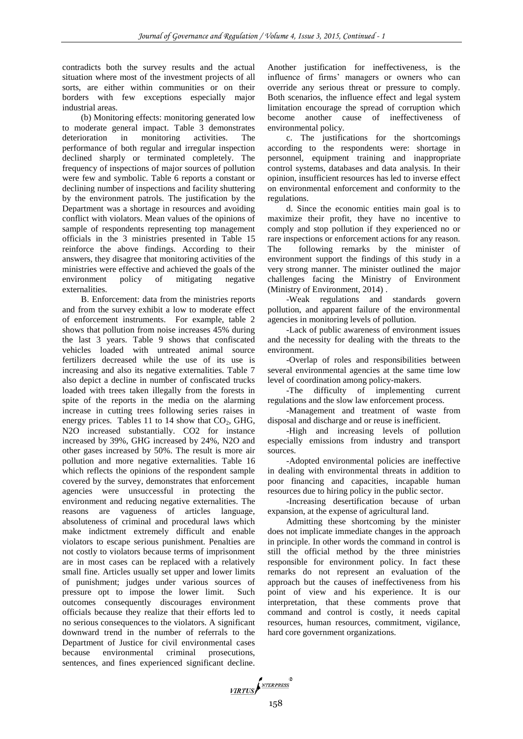contradicts both the survey results and the actual situation where most of the investment projects of all sorts, are either within communities or on their borders with few exceptions especially major industrial areas.

(b) Monitoring effects: monitoring generated low to moderate general impact. Table 3 demonstrates deterioration in monitoring activities. The performance of both regular and irregular inspection declined sharply or terminated completely. The frequency of inspections of major sources of pollution were few and symbolic. Table 6 reports a constant or declining number of inspections and facility shuttering by the environment patrols. The justification by the Department was a shortage in resources and avoiding conflict with violators. Mean values of the opinions of sample of respondents representing top management officials in the 3 ministries presented in Table 15 reinforce the above findings. According to their answers, they disagree that monitoring activities of the ministries were effective and achieved the goals of the environment policy of mitigating negative externalities.

B. Enforcement: data from the ministries reports and from the survey exhibit a low to moderate effect of enforcement instruments. For example, table 2 shows that pollution from noise increases 45% during the last 3 years. Table 9 shows that confiscated vehicles loaded with untreated animal source fertilizers decreased while the use of its use is increasing and also its negative externalities. Table 7 also depict a decline in number of confiscated trucks loaded with trees taken illegally from the forests in spite of the reports in the media on the alarming increase in cutting trees following series raises in energy prices. Tables 11 to 14 show that  $CO<sub>2</sub>$ , GHG, N2O increased substantially. CO2 for instance increased by 39%, GHG increased by 24%, N2O and other gases increased by 50%. The result is more air pollution and more negative externalities. Table 16 which reflects the opinions of the respondent sample covered by the survey, demonstrates that enforcement agencies were unsuccessful in protecting the environment and reducing negative externalities. The reasons are vagueness of articles language, absoluteness of criminal and procedural laws which make indictment extremely difficult and enable violators to escape serious punishment. Penalties are not costly to violators because terms of imprisonment are in most cases can be replaced with a relatively small fine. Articles usually set upper and lower limits of punishment; judges under various sources of pressure opt to impose the lower limit. Such outcomes consequently discourages environment officials because they realize that their efforts led to no serious consequences to the violators. A significant downward trend in the number of referrals to the Department of Justice for civil environmental cases because environmental criminal prosecutions, sentences, and fines experienced significant decline.

Another justification for ineffectiveness, is the influence of firms' managers or owners who can override any serious threat or pressure to comply. Both scenarios, the influence effect and legal system limitation encourage the spread of corruption which become another cause of ineffectiveness of environmental policy.

c. The justifications for the shortcomings according to the respondents were: shortage in personnel, equipment training and inappropriate control systems, databases and data analysis. In their opinion, insufficient resources has led to inverse effect on environmental enforcement and conformity to the regulations.

d. Since the economic entities main goal is to maximize their profit, they have no incentive to comply and stop pollution if they experienced no or rare inspections or enforcement actions for any reason. The following remarks by the minister of environment support the findings of this study in a very strong manner. The minister outlined the major challenges facing the Ministry of Environment (Ministry of Environment, 2014) .

-Weak regulations and standards govern pollution, and apparent failure of the environmental agencies in monitoring levels of pollution.

-Lack of public awareness of environment issues and the necessity for dealing with the threats to the environment.

-Overlap of roles and responsibilities between several environmental agencies at the same time low level of coordination among policy-makers.

-The difficulty of implementing current regulations and the slow law enforcement process.

-Management and treatment of waste from disposal and discharge and or reuse is inefficient.

-High and increasing levels of pollution especially emissions from industry and transport sources.

-Adopted environmental policies are ineffective in dealing with environmental threats in addition to poor financing and capacities, incapable human resources due to hiring policy in the public sector.

-Increasing desertification because of urban expansion, at the expense of agricultural land.

Admitting these shortcoming by the minister does not implicate immediate changes in the approach in principle. In other words the command in control is still the official method by the three ministries responsible for environment policy. In fact these remarks do not represent an evaluation of the approach but the causes of ineffectiveness from his point of view and his experience. It is our interpretation, that these comments prove that command and control is costly, it needs capital resources, human resources, commitment, vigilance, hard core government organizations.

VIRTUS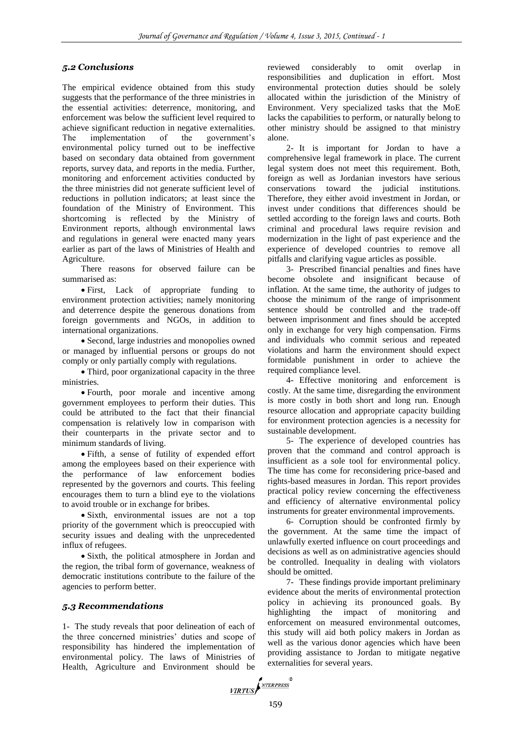## *5.2 Conclusions*

The empirical evidence obtained from this study suggests that the performance of the three ministries in the essential activities: deterrence, monitoring, and enforcement was below the sufficient level required to achieve significant reduction in negative externalities. The implementation of the government's environmental policy turned out to be ineffective based on secondary data obtained from government reports, survey data, and reports in the media. Further, monitoring and enforcement activities conducted by the three ministries did not generate sufficient level of reductions in pollution indicators; at least since the foundation of the Ministry of Environment. This shortcoming is reflected by the Ministry of Environment reports, although environmental laws and regulations in general were enacted many years earlier as part of the laws of Ministries of Health and Agriculture.

There reasons for observed failure can be summarised as:

 First, Lack of appropriate funding to environment protection activities; namely monitoring and deterrence despite the generous donations from foreign governments and NGOs, in addition to international organizations.

 Second, large industries and monopolies owned or managed by influential persons or groups do not comply or only partially comply with regulations.

• Third, poor organizational capacity in the three ministries.

 Fourth, poor morale and incentive among government employees to perform their duties. This could be attributed to the fact that their financial compensation is relatively low in comparison with their counterparts in the private sector and to minimum standards of living.

 Fifth, a sense of futility of expended effort among the employees based on their experience with the performance of law enforcement bodies represented by the governors and courts. This feeling encourages them to turn a blind eye to the violations to avoid trouble or in exchange for bribes.

• Sixth, environmental issues are not a top priority of the government which is preoccupied with security issues and dealing with the unprecedented influx of refugees.

 Sixth, the political atmosphere in Jordan and the region, the tribal form of governance, weakness of democratic institutions contribute to the failure of the agencies to perform better.

## *5.3 Recommendations*

1- The study reveals that poor delineation of each of the three concerned ministries' duties and scope of responsibility has hindered the implementation of environmental policy. The laws of Ministries of Health, Agriculture and Environment should be

reviewed considerably to omit overlap in responsibilities and duplication in effort. Most environmental protection duties should be solely allocated within the jurisdiction of the Ministry of Environment. Very specialized tasks that the MoE lacks the capabilities to perform, or naturally belong to other ministry should be assigned to that ministry alone.

2- It is important for Jordan to have a comprehensive legal framework in place. The current legal system does not meet this requirement. Both, foreign as well as Jordanian investors have serious conservations toward the judicial institutions. Therefore, they either avoid investment in Jordan, or invest under conditions that differences should be settled according to the foreign laws and courts. Both criminal and procedural laws require revision and modernization in the light of past experience and the experience of developed countries to remove all pitfalls and clarifying vague articles as possible.

3- Prescribed financial penalties and fines have become obsolete and insignificant because of inflation. At the same time, the authority of judges to choose the minimum of the range of imprisonment sentence should be controlled and the trade-off between imprisonment and fines should be accepted only in exchange for very high compensation. Firms and individuals who commit serious and repeated violations and harm the environment should expect formidable punishment in order to achieve the required compliance level.

4- Effective monitoring and enforcement is costly. At the same time, disregarding the environment is more costly in both short and long run. Enough resource allocation and appropriate capacity building for environment protection agencies is a necessity for sustainable development.

5- The experience of developed countries has proven that the command and control approach is insufficient as a sole tool for environmental policy. The time has come for reconsidering price-based and rights-based measures in Jordan. This report provides practical policy review concerning the effectiveness and efficiency of alternative environmental policy instruments for greater environmental improvements.

6- Corruption should be confronted firmly by the government. At the same time the impact of unlawfully exerted influence on court proceedings and decisions as well as on administrative agencies should be controlled. Inequality in dealing with violators should be omitted.

7- These findings provide important preliminary evidence about the merits of environmental protection policy in achieving its pronounced goals. By highlighting the impact of monitoring and enforcement on measured environmental outcomes, this study will aid both policy makers in Jordan as well as the various donor agencies which have been providing assistance to Jordan to mitigate negative externalities for several years.

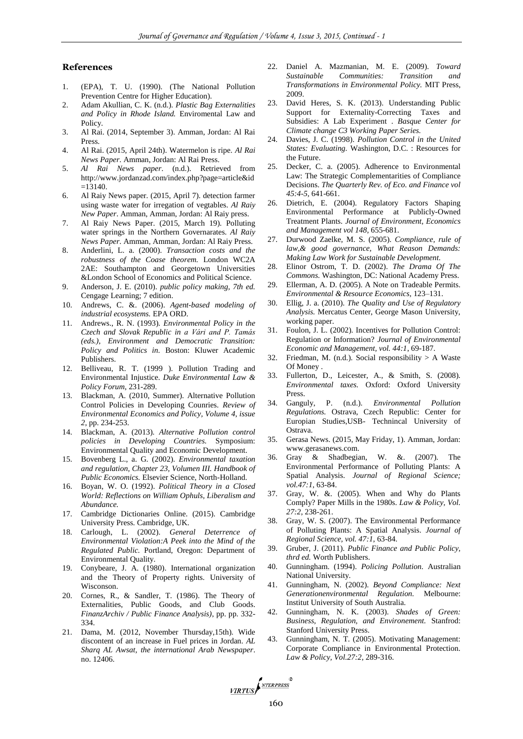#### **References**

- 1. (EPA), T. U. (1990). (The National Pollution Prevention Centre for Higher Education).
- 2. Adam Akullian, C. K. (n.d.). *Plastic Bag Externalities and Policy in Rhode Island.* Enviromental Law and Policy.
- 3. Al Rai. (2014, September 3). Amman, Jordan: Al Rai Press.
- 4. Al Rai. (2015, April 24th). Watermelon is ripe. *Al Rai News Paper*. Amman, Jordan: Al Rai Press.
- 5. *Al Rai News paper*. (n.d.). Retrieved from http://www.jordanzad.com/index.php?page=article&id  $=13140.$
- 6. Al Raiy News paper. (2015, April 7). detection farmer using waste water for irregation of vegtables. *Al Raiy New Paper*. Amman, Amman, Jordan: Al Raiy press.
- 7. Al Raiy News Paper. (2015, March 19). Polluting water springs in the Northern Governarates. *Al Raiy News Paper*. Amman, Amman, Jordan: Al Raiy Press.
- 8. Anderlini, L. a. (2000). *Transaction costs and the robustness of the Coase theorem.* London WC2A 2AE: Southampton and Georgetown Universities &London School of Economics and Political Science.
- 9. Anderson, J. E. (2010). *public policy making, 7th ed.* Cengage Learning; 7 edition.
- 10. Andrews, C. &. (2006). *Agent-based modeling of industrial ecosystems.* EPA ORD.
- 11. Andrews., R. N. (1993). *Environmental Policy in the Czech and Slovak Republic in a Vári and P. Tamás (eds.), Environment and Democratic Transition: Policy and Politics in.* Boston: Kluwer Academic Publishers.
- 12. Belliveau, R. T. (1999 ). Pollution Trading and Environmental Injustice. *Duke Environmental Law & Policy Forum*, 231-289.
- 13. Blackman, A. (2010, Summer). Alternative Pollution Control Policies in Developing Counries. *Review of Environmental Economics and Policy, Volume 4, issue 2*, pp. 234-253.
- 14. Blackman, A. (2013). *Alternative Pollution control policies in Developing Countries.* Symposium: Environmental Quality and Economic Development.
- 15. Bovenberg L., a. G. (2002). *Environmental taxation and regulation, Chapter 23, Volumen III. Handbook of Public Economics.* Elsevier Science, North-Holland.
- 16. Boyan, W. O. (1992). *Political Theory in a Closed World: Reflections on William Ophuls, Liberalism and Abundance.*
- 17. Cambridge Dictionaries Online. (2015). Cambridge University Press. Cambridge, UK.
- 18. Carlough, L. (2002). *General Deterrence of Environmental Violation:A Peek into the Mind of the Regulated Public.* Portland, Oregon: Department of Environmental Quality.
- 19. Conybeare, J. A. (1980). International organization and the Theory of Property rights. University of Wisconson.
- 20. Cornes, R., & Sandler, T. (1986). The Theory of Externalities, Public Goods, and Club Goods. *FinanzArchiv / Public Finance Analysis)*, pp. pp. 332- 334.
- 21. Dama, M. (2012, November Thursday,15th). Wide discontent of an increase in Fuel prices in Jordan. *AL Sharq AL Awsat, the international Arab Newspaper*. no. 12406.
- 22. Daniel A. Mazmanian, M. E. (2009). *Toward Sustainable Communities: Transition and Transformations in Environmental Policy.* MIT Press, 2009.
- 23. David Heres, S. K. (2013). Understanding Public Support for Externality-Correcting Taxes and Subsidies: A Lab Experiment . *Basque Center for Climate change C3 Working Paper Series.*
- 24. Davies, J. C. (1998). *Pollution Control in the United States: Evaluating.* Washington, D.C. : Resources for the Future.
- 25. Decker, C. a. (2005). Adherence to Environmental Law: The Strategic Complementarities of Compliance Decisions. *The Quarterly Rev. of Eco. and Finance vol 45:4-5*, 641-661.
- 26. Dietrich, E. (2004). Regulatory Factors Shaping Environmental Performance at Publicly-Owned Treatment Plants. *Journal of Environment, Economics and Management vol 148*, 655-681.
- 27. Durwood Zaelke, M. S. (2005). *Compliance, rule of law,& good governance, What Reason Demands: Making Law Work for Sustainable Development.*
- 28. Elinor Ostrom, T. D. (2002). *The Drama Of The Commons.* Washington, DC: National Academy Press.
- 29. Ellerman, A. D. (2005). A Note on Tradeable Permits. *Environmental & Resource Economics*, 123–131.
- 30. Ellig, J. a. (2010). *The Quality and Use of Regulatory Analysis.* Mercatus Center, George Mason University, working paper.
- 31. Foulon, J. L. (2002). Incentives for Pollution Control: Regulation or Information? *Journal of Environmental Economic and Management, vol. 44:1*, 69-187.
- 32. Friedman, M. (n.d.). Social responsibility  $> A$  Waste Of Money .
- 33. Fullerton, D., Leicester, A., & Smith, S. (2008). *Environmental taxes.* Oxford: Oxford University Press.
- 34. Ganguly, P. (n.d.). *Environmental Pollution Regulations.* Ostrava, Czech Republic: Center for Europian Studies,USB- Technincal University of Ostrava.
- 35. Gerasa News. (2015, May Friday, 1). Amman, Jordan: www.gerasanews.com.
- 36. Gray & Shadbegian, W. &. (2007). The Environmental Performance of Polluting Plants: A Spatial Analysis. *Journal of Regional Science; vol.47:1*, 63-84.
- 37. Gray, W. &. (2005). When and Why do Plants Comply? Paper Mills in the 1980s. *Law & Policy, Vol. 27:2*, 238-261.
- 38. Gray, W. S. (2007). The Environmental Performance of Polluting Plants: A Spatial Analysis. *Journal of Regional Science, vol. 47:1*, 63-84.
- 39. Gruber, J. (2011). *Public Finance and Public Policy, thrd ed.* Worth Publishers.
- 40. Gunningham. (1994). *Policing Pollution.* Australian National University.
- 41. Gunningham, N. (2002). *Beyond Compliance: Next Generationenvironmental Regulation.* Melbourne: Institut University of South Australia.
- 42. Gunningham, N. K. (2003). *Shades of Green: Business, Regulation, and Environement.* Stanfrod: Stanford University Press.
- 43. Gunningham, N. T. (2005). Motivating Management: Corporate Compliance in Environmental Protection. *Law & Policy, Vol.27:2*, 289-316.

VIRTUS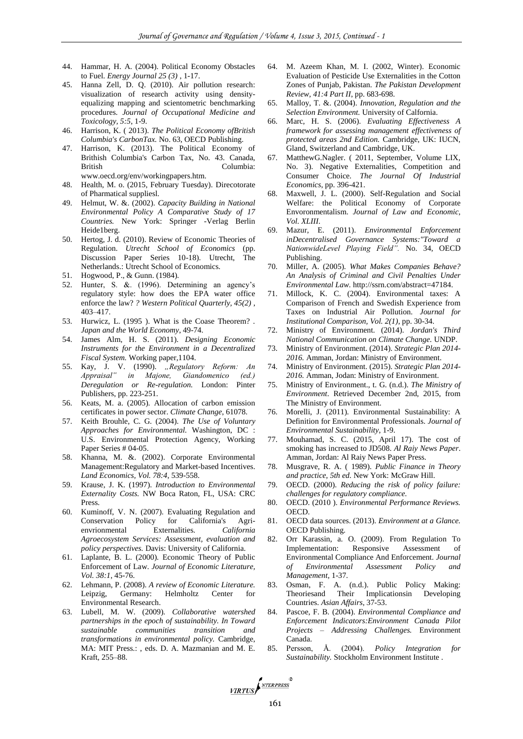- 44. Hammar, H. A. (2004). Political Economy Obstacles to Fuel. *Energy Journal 25 (3)* , 1-17.
- 45. Hanna Zell, D. Q. (2010). Air pollution research: visualization of research activity using densityequalizing mapping and scientometric benchmarking procedures. *Journal of Occupational Medicine and Toxicology, 5:5*, 1-9.
- 46. Harrison, K. ( 2013). *The Political Economy ofBritish Columbia's CarbonTax.* No. 63, OECD Publishing.
- 47. Harrison, K. (2013). The Political Economy of Brithish Columbia's Carbon Tax, No. 43. Canada, British Columbia: www.oecd.org/env/workingpapers.htm.
- 48. Health, M. o. (2015, February Tuesday). Direcotorate of Pharmatical suppliesl.
- 49. Helmut, W. &. (2002). *Capacity Building in National Environmental Policy A Comparative Study of 17 Countries.* New York: Springer -Verlag Berlin Heide1berg.
- 50. Hertog, J. d. (2010). Review of Economic Theories of Regulation. *Utrecht School of Economics* (pp. Discussion Paper Series 10-18). Utrecht, The Netherlands.: Utrecht School of Economics.
- 51. Hogwood, P., & Gunn. (1984).
- 52. Hunter, S. &. (1996). Determining an agency's regulatory style: how does the EPA water office enforce the law? *? Western Political Quarterly, 45(2)* , 403–417.
- 53. Hurwicz, L. (1995 ). What is the Coase Theorem? . *Japan and the World Economy*, 49-74.
- 54. James Alm, H. S. (2011). *Designing Economic Instruments for the Environment in a Decentralized Fiscal System.* Working paper,1104.
- 55. Kay, J. V. (1990). *"Regulatory Reform: An Appraisal" in Majone, Giandomenico (ed.) Deregulation or Re-regulation.* London: Pinter Publishers, pp. 223-251.
- 56. Keats, M. a. (2005). Allocation of carbon emission certificates in power sector. *Climate Change*, 61078.
- 57. Keith Brouhle, C. G. (2004). *The Use of Voluntary Approaches for Environmental.* Washington, DC : U.S. Environmental Protection Agency, Working Paper Series # 04-05.
- 58. Khanna, M. &. (2002). Corporate Environmental Management:Regulatory and Market-based Incentives. *Land Economics, Vol. 78:4*, 539-558.
- 59. Krause, J. K. (1997). *Introduction to Environmental Externality Costs.* NW Boca Raton, FL, USA: CRC Press.
- 60. Kuminoff, V. N. (2007). Evaluating Regulation and Conservation Policy for California's Agrienvrionmental Externalities. *California Agroecosystem Services: Assessment, evaluation and policy perspectives.* Davis: University of California.
- 61. Laplante, B. L. (2000). Economic Theory of Public Enforcement of Law. *Journal of Economic Literature, Vol. 38:1*, 45-76.
- 62. Lehmann, P. (2008). *A review of Economic Literature.* Leipzig, Germany: Helmholtz Center for Environmental Research.
- 63. Lubell, M. W. (2009). *Collaborative watershed partnerships in the epoch of sustainability. In Toward sustainable communities transition and transformations in environmental policy.* Cambridge, MA: MIT Press.: , eds. D. A. Mazmanian and M. E. Kraft, 255–88.
- 64. M. Azeem Khan, M. I. (2002, Winter). Economic Evaluation of Pesticide Use Externalities in the Cotton Zones of Punjab, Pakistan. *The Pakistan Development Review, 41:4 Part II*, pp. 683-698.
- 65. Malloy, T. &. (2004). *Innovation, Regulation and the Selection Environment.* University of Calfornia.
- 66. Marc, H. S. (2006). *Evaluating Effectiveness A framework for assessing management effectiveness of protected areas 2nd Edition.* Cambridge, UK: IUCN, Gland, Switzerland and Cambridge, UK.
- 67. MatthewG.Nagler. ( 2011, September, Volume LIX, No. 3). Negative Externalities, Competition and Consumer Choice. *The Journal Of Industrial Economics*, pp. 396-421.
- 68. Maxwell, J. L. (2000). Self-Regulation and Social Welfare: the Political Economy of Corporate Envoronmentalism. *Journal of Law and Economic, Vol. XLIII*.
- 69. Mazur, E. (2011). *Environmental Enforcement inDecentralised Governance Systems:"Toward a NationwideLevel Playing Field".* No. 34, OECD Publishing.
- 70. Miller, A. (2005). *What Makes Companies Behave? An Analysis of Criminal and Civil Penalties Under Environmental Law.* http://ssrn.com/abstract=47184.
- 71. Millock, K. C. (2004). Environmental taxes: A Comparison of French and Swedish Experience from Taxes on Industrial Air Pollution. *Journal for Institutional Comparison, Vol. 2(1)*, pp. 30-34.
- 72. Ministry of Environment. (2014). *Jordan's Third National Communication on Climate Change.* UNDP.
- 73. Ministry of Environment. (2014). *Strategic Plan 2014- 2016.* Amman, Jordan: Ministry of Environment.
- 74. Ministry of Environment. (2015). *Strategic Plan 2014- 2016.* Amman, Jodan: Ministry of Environment.
- 75. Ministry of Environment., t. G. (n.d.). *The Ministry of Environment*. Retrieved December 2nd, 2015, from The Ministry of Environment.
- 76. Morelli, J. (2011). Environmental Sustainability: A Definition for Environmental Professionals. *Journal of Environmental Sustainability*, 1-9.
- 77. Mouhamad, S. C. (2015, April 17). The cost of smoking has increased to JD508. *Al Raiy News Paper*. Amman, Jordan: Al Raiy News Paper Press.
- 78. Musgrave, R. A. ( 1989). *Public Finance in Theory and practice, 5th ed.* New York: McGraw Hill.
- 79. OECD. (2000). *Reducing the risk of policy failure: challenges for regulatory compliance.*
- 80. OECD. (2010 ). *Environmental Performance Reviews.* OECD.
- 81. OECD data sources. (2013). *Environment at a Glance.* OECD Publishing.
- 82. Orr Karassin, a. O. (2009). From Regulation To Implementation: Responsive Assessment of Environmental Compliance And Enforcement. *Journal of Environmental Assessment Policy and Management*, 1-37.
- 83. Osman, F. A. (n.d.). Public Policy Making: Theoriesand Their Implicationsin Developing Countries. *Asian Affairs*, 37-53.
- 84. Pascoe, F. B. (2004). *Environmental Compliance and Enforcement Indicators:Environment Canada Pilot Projects – Addressing Challenges.* Environment Canada.
- 85. Persson, Å. (2004). *Policy Integration for Sustainability.* Stockholm Environment Institute .